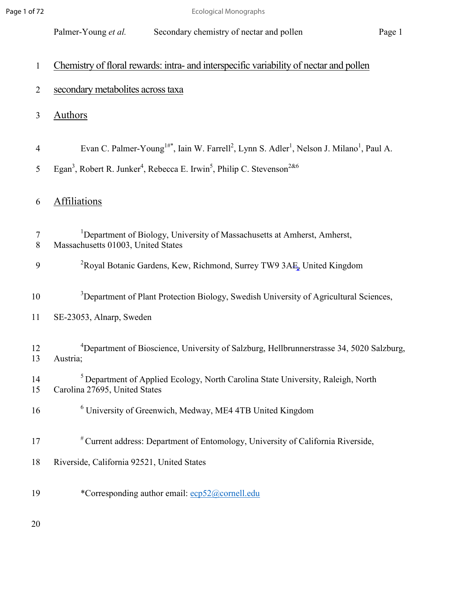|                | Palmer-Young et al.<br>Secondary chemistry of nectar and pollen<br>Page 1                                                                 |
|----------------|-------------------------------------------------------------------------------------------------------------------------------------------|
| $\mathbf{1}$   | Chemistry of floral rewards: intra- and interspecific variability of nectar and pollen                                                    |
| $\overline{2}$ | secondary metabolites across taxa                                                                                                         |
| 3              | <b>Authors</b>                                                                                                                            |
| $\overline{4}$ | Evan C. Palmer-Young <sup>1#*</sup> , Iain W. Farrell <sup>2</sup> , Lynn S. Adler <sup>1</sup> , Nelson J. Milano <sup>1</sup> , Paul A. |
| 5              | Egan <sup>3</sup> , Robert R. Junker <sup>4</sup> , Rebecca E. Irwin <sup>5</sup> , Philip C. Stevenson <sup>2&amp;6</sup>                |
| 6              | Affiliations                                                                                                                              |
| 7<br>$8\,$     | <sup>1</sup> Department of Biology, University of Massachusetts at Amherst, Amherst,<br>Massachusetts 01003, United States                |
| 9              | <sup>2</sup> Royal Botanic Gardens, Kew, Richmond, Surrey TW9 3AE, United Kingdom                                                         |
| 10             | <sup>3</sup> Department of Plant Protection Biology, Swedish University of Agricultural Sciences,                                         |
| 11             | SE-23053, Alnarp, Sweden                                                                                                                  |
| 12<br>13       | <sup>4</sup> Department of Bioscience, University of Salzburg, Hellbrunnerstrasse 34, 5020 Salzburg,<br>Austria;                          |
| 14<br>15       | <sup>5</sup> Department of Applied Ecology, North Carolina State University, Raleigh, North<br>Carolina 27695, United States              |
| 16             | <sup>6</sup> University of Greenwich, Medway, ME4 4TB United Kingdom                                                                      |
| 17             | # Current address: Department of Entomology, University of California Riverside,                                                          |
| 18             | Riverside, California 92521, United States                                                                                                |
| 19             | *Corresponding author email: ecp52@cornell.edu                                                                                            |
| 20             |                                                                                                                                           |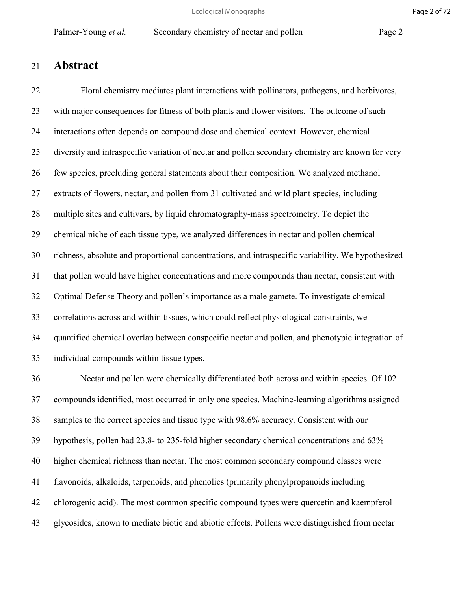## 21 **Abstract**

22 Floral chemistry mediates plant interactions with pollinators, pathogens, and herbivores, 23 with major consequences for fitness of both plants and flower visitors. The outcome of such 24 interactions often depends on compound dose and chemical context. However, chemical 25 diversity and intraspecific variation of nectar and pollen secondary chemistry are known for very 26 few species, precluding general statements about their composition. We analyzed methanol 27 extracts of flowers, nectar, and pollen from 31 cultivated and wild plant species, including 28 multiple sites and cultivars, by liquid chromatography-mass spectrometry. To depict the 29 chemical niche of each tissue type, we analyzed differences in nectar and pollen chemical 30 richness, absolute and proportional concentrations, and intraspecific variability. We hypothesized 31 that pollen would have higher concentrations and more compounds than nectar, consistent with 32 Optimal Defense Theory and pollen's importance as a male gamete. To investigate chemical 33 correlations across and within tissues, which could reflect physiological constraints, we 34 quantified chemical overlap between conspecific nectar and pollen, and phenotypic integration of 35 individual compounds within tissue types.

36 Nectar and pollen were chemically differentiated both across and within species. Of 102 37 compounds identified, most occurred in only one species. Machine-learning algorithms assigned 38 samples to the correct species and tissue type with 98.6% accuracy. Consistent with our 39 hypothesis, pollen had 23.8- to 235-fold higher secondary chemical concentrations and 63% 40 higher chemical richness than nectar. The most common secondary compound classes were 41 flavonoids, alkaloids, terpenoids, and phenolics (primarily phenylpropanoids including 42 chlorogenic acid). The most common specific compound types were quercetin and kaempferol 43 glycosides, known to mediate biotic and abiotic effects. Pollens were distinguished from nectar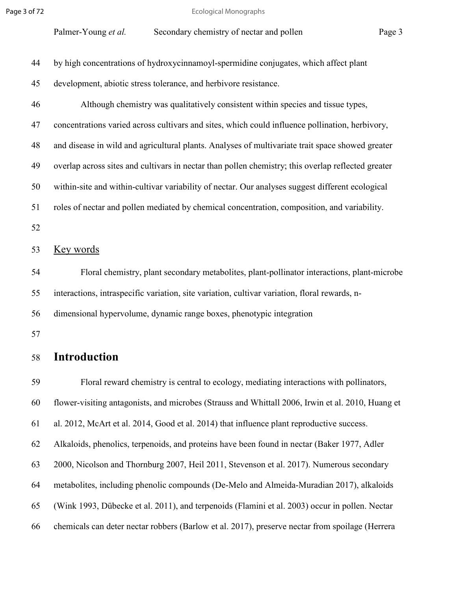| 44 | by high concentrations of hydroxycinnamoyl-spermidine conjugates, which affect plant               |
|----|----------------------------------------------------------------------------------------------------|
| 45 | development, abiotic stress tolerance, and herbivore resistance.                                   |
| 46 | Although chemistry was qualitatively consistent within species and tissue types,                   |
| 47 | concentrations varied across cultivars and sites, which could influence pollination, herbivory,    |
| 48 | and disease in wild and agricultural plants. Analyses of multivariate trait space showed greater   |
| 49 | overlap across sites and cultivars in nectar than pollen chemistry; this overlap reflected greater |
| 50 | within-site and within-cultivar variability of nectar. Our analyses suggest different ecological   |
| 51 | roles of nectar and pollen mediated by chemical concentration, composition, and variability.       |
| 52 |                                                                                                    |
| 53 | Key words                                                                                          |
| 54 | Floral chemistry, plant secondary metabolites, plant-pollinator interactions, plant-microbe        |
| 55 | interactions, intraspecific variation, site variation, cultivar variation, floral rewards, n-      |
| 56 | dimensional hypervolume, dynamic range boxes, phenotypic integration                               |
| 57 |                                                                                                    |
| 58 | <b>Introduction</b>                                                                                |
| 59 | Floral reward chemistry is central to ecology, mediating interactions with pollinators,            |
| 60 | flower-visiting antagonists, and microbes (Strauss and Whittall 2006, Irwin et al. 2010, Huang et  |
| 61 | al. 2012, McArt et al. 2014, Good et al. 2014) that influence plant reproductive success.          |
| 62 | Alkaloids, phenolics, terpenoids, and proteins have been found in nectar (Baker 1977, Adler        |
| 63 | 2000, Nicolson and Thornburg 2007, Heil 2011, Stevenson et al. 2017). Numerous secondary           |
| 64 | metabolites, including phenolic compounds (De-Melo and Almeida-Muradian 2017), alkaloids           |

65 (Wink 1993, Dübecke et al. 2011), and terpenoids (Flamini et al. 2003) occur in pollen. Nectar

66 chemicals can deter nectar robbers (Barlow et al. 2017), preserve nectar from spoilage (Herrera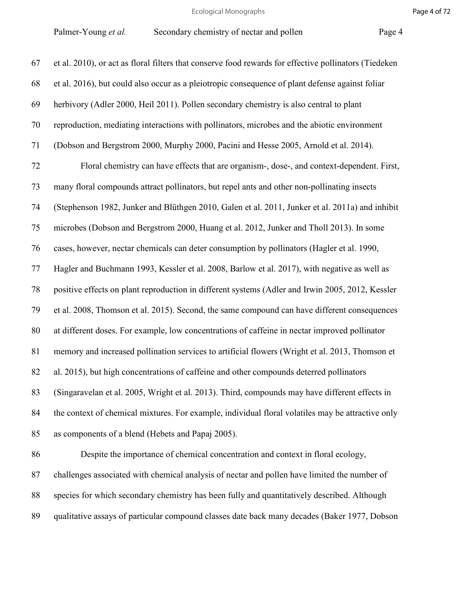67 et al. 2010), or act as floral filters that conserve food rewards for effective pollinators (Tiedeken 68 et al. 2016), but could also occur as a pleiotropic consequence of plant defense against foliar 69 herbivory (Adler 2000, Heil 2011). Pollen secondary chemistry is also central to plant 70 reproduction, mediating interactions with pollinators, microbes and the abiotic environment 71 (Dobson and Bergstrom 2000, Murphy 2000, Pacini and Hesse 2005, Arnold et al. 2014). 72 Floral chemistry can have effects that are organism-, dose-, and context-dependent. First, 73 many floral compounds attract pollinators, but repel ants and other non-pollinating insects 74 (Stephenson 1982, Junker and Blüthgen 2010, Galen et al. 2011, Junker et al. 2011a) and inhibit 75 microbes (Dobson and Bergstrom 2000, Huang et al. 2012, Junker and Tholl 2013). In some 76 cases, however, nectar chemicals can deter consumption by pollinators (Hagler et al. 1990, 77 Hagler and Buchmann 1993, Kessler et al. 2008, Barlow et al. 2017), with negative as well as 78 positive effects on plant reproduction in different systems (Adler and Irwin 2005, 2012, Kessler 79 et al. 2008, Thomson et al. 2015). Second, the same compound can have different consequences 80 at different doses. For example, low concentrations of caffeine in nectar improved pollinator 81 memory and increased pollination services to artificial flowers (Wright et al. 2013, Thomson et 82 al. 2015), but high concentrations of caffeine and other compounds deterred pollinators 83 (Singaravelan et al. 2005, Wright et al. 2013). Third, compounds may have different effects in 84 the context of chemical mixtures. For example, individual floral volatiles may be attractive only 85 as components of a blend (Hebets and Papaj 2005). 86 Despite the importance of chemical concentration and context in floral ecology, 87 challenges associated with chemical analysis of nectar and pollen have limited the number of 88 species for which secondary chemistry has been fully and quantitatively described. Although 89 qualitative assays of particular compound classes date back many decades (Baker 1977, Dobson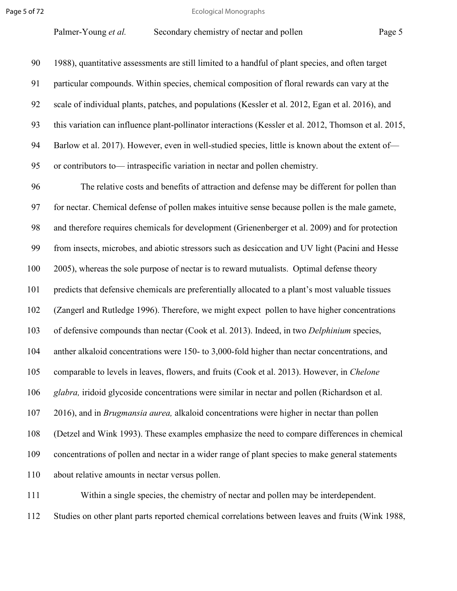90 1988), quantitative assessments are still limited to a handful of plant species, and often target 91 particular compounds. Within species, chemical composition of floral rewards can vary at the 92 scale of individual plants, patches, and populations (Kessler et al. 2012, Egan et al. 2016), and 93 this variation can influence plant-pollinator interactions (Kessler et al. 2012, Thomson et al. 2015, 94 Barlow et al. 2017). However, even in well-studied species, little is known about the extent of— 95 or contributors to— intraspecific variation in nectar and pollen chemistry. 96 The relative costs and benefits of attraction and defense may be different for pollen than 97 for nectar. Chemical defense of pollen makes intuitive sense because pollen is the male gamete, 98 and therefore requires chemicals for development (Grienenberger et al. 2009) and for protection 99 from insects, microbes, and abiotic stressors such as desiccation and UV light (Pacini and Hesse 100 2005), whereas the sole purpose of nectar is to reward mutualists. Optimal defense theory 101 predicts that defensive chemicals are preferentially allocated to a plant's most valuable tissues 102 (Zangerl and Rutledge 1996). Therefore, we might expect pollen to have higher concentrations 103 of defensive compounds than nectar (Cook et al. 2013). Indeed, in two *Delphinium* species, 104 anther alkaloid concentrations were 150- to 3,000-fold higher than nectar concentrations, and 105 comparable to levels in leaves, flowers, and fruits (Cook et al. 2013). However, in *Chelone*  106 *glabra,* iridoid glycoside concentrations were similar in nectar and pollen (Richardson et al. 107 2016), and in *Brugmansia aurea,* alkaloid concentrations were higher in nectar than pollen 108 (Detzel and Wink 1993). These examples emphasize the need to compare differences in chemical 109 concentrations of pollen and nectar in a wider range of plant species to make general statements 110 about relative amounts in nectar versus pollen. 111 Within a single species, the chemistry of nectar and pollen may be interdependent.

112 Studies on other plant parts reported chemical correlations between leaves and fruits (Wink 1988,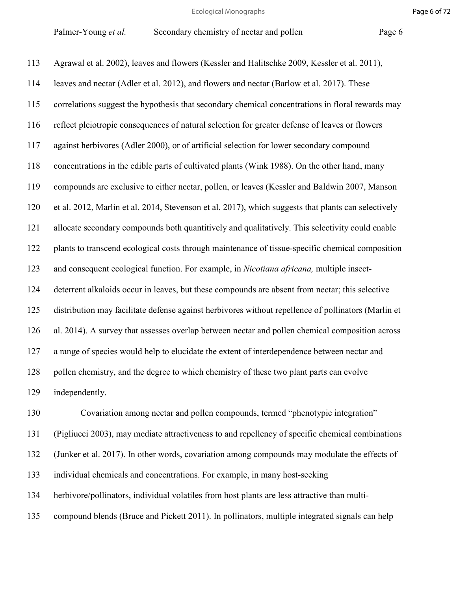| 113 | Agrawal et al. 2002), leaves and flowers (Kessler and Halitschke 2009, Kessler et al. 2011),        |
|-----|-----------------------------------------------------------------------------------------------------|
| 114 | leaves and nectar (Adler et al. 2012), and flowers and nectar (Barlow et al. 2017). These           |
| 115 | correlations suggest the hypothesis that secondary chemical concentrations in floral rewards may    |
| 116 | reflect pleiotropic consequences of natural selection for greater defense of leaves or flowers      |
| 117 | against herbivores (Adler 2000), or of artificial selection for lower secondary compound            |
| 118 | concentrations in the edible parts of cultivated plants (Wink 1988). On the other hand, many        |
| 119 | compounds are exclusive to either nectar, pollen, or leaves (Kessler and Baldwin 2007, Manson       |
| 120 | et al. 2012, Marlin et al. 2014, Stevenson et al. 2017), which suggests that plants can selectively |
| 121 | allocate secondary compounds both quantitively and qualitatively. This selectivity could enable     |
| 122 | plants to transcend ecological costs through maintenance of tissue-specific chemical composition    |
| 123 | and consequent ecological function. For example, in Nicotiana africana, multiple insect-            |
| 124 | deterrent alkaloids occur in leaves, but these compounds are absent from nectar; this selective     |
| 125 | distribution may facilitate defense against herbivores without repellence of pollinators (Marlin et |
| 126 | al. 2014). A survey that assesses overlap between nectar and pollen chemical composition across     |
| 127 | a range of species would help to elucidate the extent of interdependence between nectar and         |
| 128 | pollen chemistry, and the degree to which chemistry of these two plant parts can evolve             |
| 129 | independently.                                                                                      |
| 130 | Covariation among nectar and pollen compounds, termed "phenotypic integration"                      |
| 131 | (Pigliucci 2003), may mediate attractiveness to and repellency of specific chemical combinations    |

132 (Junker et al. 2017). In other words, covariation among compounds may modulate the effects of

133 individual chemicals and concentrations. For example, in many host-seeking

134 herbivore/pollinators, individual volatiles from host plants are less attractive than multi-

135 compound blends (Bruce and Pickett 2011). In pollinators, multiple integrated signals can help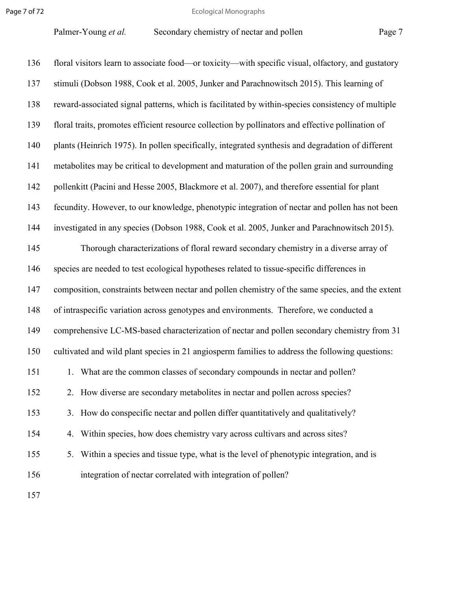| 136 | floral visitors learn to associate food—or toxicity—with specific visual, olfactory, and gustatory |
|-----|----------------------------------------------------------------------------------------------------|
| 137 | stimuli (Dobson 1988, Cook et al. 2005, Junker and Parachnowitsch 2015). This learning of          |
| 138 | reward-associated signal patterns, which is facilitated by within-species consistency of multiple  |
| 139 | floral traits, promotes efficient resource collection by pollinators and effective pollination of  |
| 140 | plants (Heinrich 1975). In pollen specifically, integrated synthesis and degradation of different  |
| 141 | metabolites may be critical to development and maturation of the pollen grain and surrounding      |
| 142 | pollenkitt (Pacini and Hesse 2005, Blackmore et al. 2007), and therefore essential for plant       |
| 143 | fecundity. However, to our knowledge, phenotypic integration of nectar and pollen has not been     |
| 144 | investigated in any species (Dobson 1988, Cook et al. 2005, Junker and Parachnowitsch 2015).       |
| 145 | Thorough characterizations of floral reward secondary chemistry in a diverse array of              |
| 146 | species are needed to test ecological hypotheses related to tissue-specific differences in         |
| 147 | composition, constraints between nectar and pollen chemistry of the same species, and the extent   |
| 148 | of intraspecific variation across genotypes and environments. Therefore, we conducted a            |
| 149 | comprehensive LC-MS-based characterization of nectar and pollen secondary chemistry from 31        |
| 150 | cultivated and wild plant species in 21 angiosperm families to address the following questions:    |
| 151 | What are the common classes of secondary compounds in nectar and pollen?<br>1.                     |
| 152 | 2. How diverse are secondary metabolites in nectar and pollen across species?                      |
| 153 | 3. How do conspecific nectar and pollen differ quantitatively and qualitatively?                   |
| 154 | Within species, how does chemistry vary across cultivars and across sites?<br>4.                   |
| 155 | 5. Within a species and tissue type, what is the level of phenotypic integration, and is           |
| 156 | integration of nectar correlated with integration of pollen?                                       |
| 157 |                                                                                                    |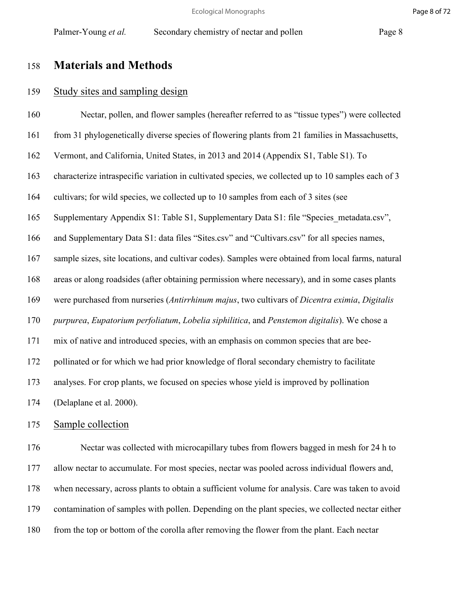# 158 **Materials and Methods**

## 159 Study sites and sampling design

| 160 | Nectar, pollen, and flower samples (hereafter referred to as "tissue types") were collected         |
|-----|-----------------------------------------------------------------------------------------------------|
| 161 | from 31 phylogenetically diverse species of flowering plants from 21 families in Massachusetts,     |
| 162 | Vermont, and California, United States, in 2013 and 2014 (Appendix S1, Table S1). To                |
| 163 | characterize intraspecific variation in cultivated species, we collected up to 10 samples each of 3 |
| 164 | cultivars; for wild species, we collected up to 10 samples from each of 3 sites (see                |
| 165 | Supplementary Appendix S1: Table S1, Supplementary Data S1: file "Species metadata.csv",            |
| 166 | and Supplementary Data S1: data files "Sites.csv" and "Cultivars.csv" for all species names,        |
| 167 | sample sizes, site locations, and cultivar codes). Samples were obtained from local farms, natural  |
| 168 | areas or along roadsides (after obtaining permission where necessary), and in some cases plants     |
| 169 | were purchased from nurseries (Antirrhinum majus, two cultivars of Dicentra eximia, Digitalis       |
| 170 | purpurea, Eupatorium perfoliatum, Lobelia siphilitica, and Penstemon digitalis). We chose a         |
| 171 | mix of native and introduced species, with an emphasis on common species that are bee-              |
| 172 | pollinated or for which we had prior knowledge of floral secondary chemistry to facilitate          |
| 173 | analyses. For crop plants, we focused on species whose yield is improved by pollination             |
| 174 | (Delaplane et al. 2000).                                                                            |

## 175 Sample collection

176 Nectar was collected with microcapillary tubes from flowers bagged in mesh for 24 h to 177 allow nectar to accumulate. For most species, nectar was pooled across individual flowers and, 178 when necessary, across plants to obtain a sufficient volume for analysis. Care was taken to avoid 179 contamination of samples with pollen. Depending on the plant species, we collected nectar either 180 from the top or bottom of the corolla after removing the flower from the plant. Each nectar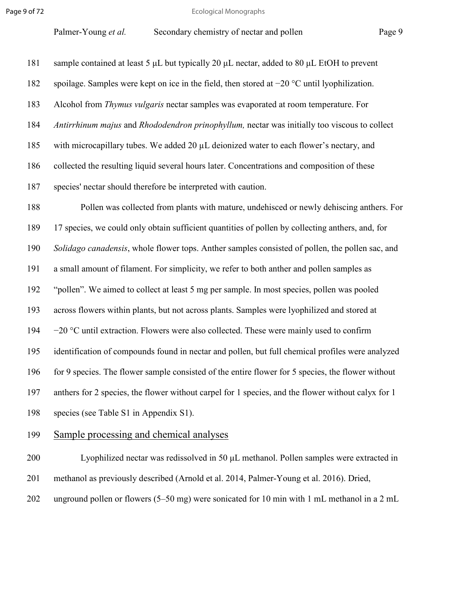181 sample contained at least 5 µL but typically 20 µL nectar, added to 80 µL EtOH to prevent 182 spoilage. Samples were kept on ice in the field, then stored at −20 °C until lyophilization. 183 Alcohol from *Thymus vulgaris* nectar samples was evaporated at room temperature. For 184 *Antirrhinum majus* and *Rhododendron prinophyllum,* nectar was initially too viscous to collect 185 with microcapillary tubes. We added 20 µL deionized water to each flower's nectary, and 186 collected the resulting liquid several hours later. Concentrations and composition of these 187 species' nectar should therefore be interpreted with caution. 188 Pollen was collected from plants with mature, undehisced or newly dehiscing anthers. For 189 17 species, we could only obtain sufficient quantities of pollen by collecting anthers, and, for 190 *Solidago canadensis*, whole flower tops. Anther samples consisted of pollen, the pollen sac, and 191 a small amount of filament. For simplicity, we refer to both anther and pollen samples as 192 "pollen". We aimed to collect at least 5 mg per sample. In most species, pollen was pooled 193 across flowers within plants, but not across plants. Samples were lyophilized and stored at 194 −20 °C until extraction. Flowers were also collected. These were mainly used to confirm 195 identification of compounds found in nectar and pollen, but full chemical profiles were analyzed 196 for 9 species. The flower sample consisted of the entire flower for 5 species, the flower without 197 anthers for 2 species, the flower without carpel for 1 species, and the flower without calyx for 1 198 species (see Table S1 in Appendix S1).

### 199 Sample processing and chemical analyses

200 Lyophilized nectar was redissolved in 50  $\mu$ L methanol. Pollen samples were extracted in 201 methanol as previously described (Arnold et al. 2014, Palmer-Young et al. 2016). Dried,

202 unground pollen or flowers (5–50 mg) were sonicated for 10 min with 1 mL methanol in a 2 mL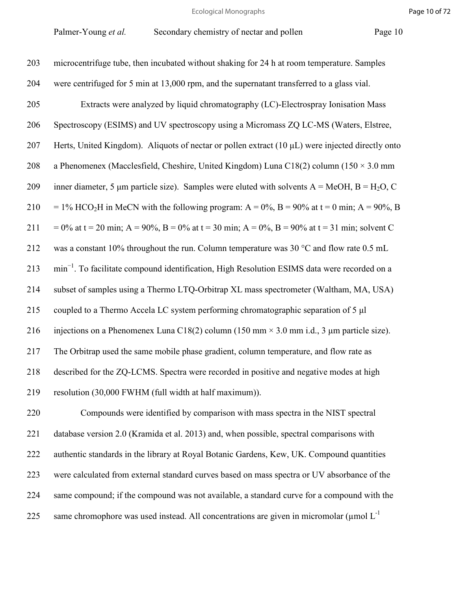| 203 | microcentrifuge tube, then incubated without shaking for 24 h at room temperature. Samples               |
|-----|----------------------------------------------------------------------------------------------------------|
| 204 | were centrifuged for 5 min at 13,000 rpm, and the supernatant transferred to a glass vial.               |
| 205 | Extracts were analyzed by liquid chromatography (LC)-Electrospray Ionisation Mass                        |
| 206 | Spectroscopy (ESIMS) and UV spectroscopy using a Micromass ZQ LC-MS (Waters, Elstree,                    |
| 207 | Herts, United Kingdom). Aliquots of nectar or pollen extract $(10 \mu L)$ were injected directly onto    |
| 208 | a Phenomenex (Macclesfield, Cheshire, United Kingdom) Luna C18(2) column (150 $\times$ 3.0 mm            |
| 209 | inner diameter, 5 µm particle size). Samples were eluted with solvents $A = MeOH$ , $B = H2O$ , C        |
| 210 | = 1% HCO <sub>2</sub> H in MeCN with the following program: A = 0%, B = 90% at t = 0 min; A = 90%, B     |
| 211 | $= 0\%$ at t = 20 min; A = 90%, B = 0% at t = 30 min; A = 0%, B = 90% at t = 31 min; solvent C           |
| 212 | was a constant 10% throughout the run. Column temperature was $30^{\circ}$ C and flow rate 0.5 mL        |
| 213 | min <sup>-1</sup> . To facilitate compound identification, High Resolution ESIMS data were recorded on a |
| 214 | subset of samples using a Thermo LTQ-Orbitrap XL mass spectrometer (Waltham, MA, USA)                    |
| 215 | coupled to a Thermo Accela LC system performing chromatographic separation of 5 µl                       |
| 216 | injections on a Phenomenex Luna C18(2) column (150 mm $\times$ 3.0 mm i.d., 3 µm particle size).         |
| 217 | The Orbitrap used the same mobile phase gradient, column temperature, and flow rate as                   |
| 218 | described for the ZQ-LCMS. Spectra were recorded in positive and negative modes at high                  |
| 219 | resolution (30,000 FWHM (full width at half maximum)).                                                   |
| 220 | Compounds were identified by comparison with mass spectra in the NIST spectral                           |

221 database version 2.0 (Kramida et al. 2013) and, when possible, spectral comparisons with

222 authentic standards in the library at Royal Botanic Gardens, Kew, UK. Compound quantities

223 were calculated from external standard curves based on mass spectra or UV absorbance of the

224 same compound; if the compound was not available, a standard curve for a compound with the

225 same chromophore was used instead. All concentrations are given in micromolar ( $\mu$ mol L<sup>-1</sup>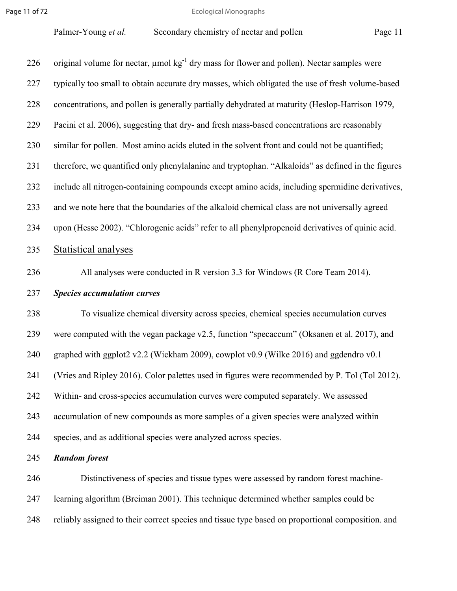| 226 | original volume for nectar, $\mu$ mol $\text{kg}^{-1}$ dry mass for flower and pollen). Nectar samples were |
|-----|-------------------------------------------------------------------------------------------------------------|
| 227 | typically too small to obtain accurate dry masses, which obligated the use of fresh volume-based            |
| 228 | concentrations, and pollen is generally partially dehydrated at maturity (Heslop-Harrison 1979,             |
| 229 | Pacini et al. 2006), suggesting that dry- and fresh mass-based concentrations are reasonably                |
| 230 | similar for pollen. Most amino acids eluted in the solvent front and could not be quantified;               |
| 231 | therefore, we quantified only phenylalanine and tryptophan. "Alkaloids" as defined in the figures           |
| 232 | include all nitrogen-containing compounds except amino acids, including spermidine derivatives,             |
| 233 | and we note here that the boundaries of the alkaloid chemical class are not universally agreed              |
| 234 | upon (Hesse 2002). "Chlorogenic acids" refer to all phenylpropenoid derivatives of quinic acid.             |
| 235 | <b>Statistical analyses</b>                                                                                 |
| 236 | All analyses were conducted in R version 3.3 for Windows (R Core Team 2014).                                |
| 237 | <b>Species accumulation curves</b>                                                                          |
| 238 | To visualize chemical diversity across species, chemical species accumulation curves                        |
| 239 | were computed with the vegan package v2.5, function "specaccum" (Oksanen et al. 2017), and                  |
| 240 | graphed with ggplot2 v2.2 (Wickham 2009), cowplot v0.9 (Wilke 2016) and ggdendro v0.1                       |
| 241 | (Vries and Ripley 2016). Color palettes used in figures were recommended by P. Tol (Tol 2012).              |
| 242 | Within- and cross-species accumulation curves were computed separately. We assessed                         |
| 243 | accumulation of new compounds as more samples of a given species were analyzed within                       |
| 244 | species, and as additional species were analyzed across species.                                            |
| 245 | <b>Random forest</b>                                                                                        |
| 246 | Distinctiveness of greenes and tissue types were assessed by random forest maghine                          |

246 Distinctiveness of species and tissue types were assessed by random forest machine-247 learning algorithm (Breiman 2001). This technique determined whether samples could be 248 reliably assigned to their correct species and tissue type based on proportional composition. and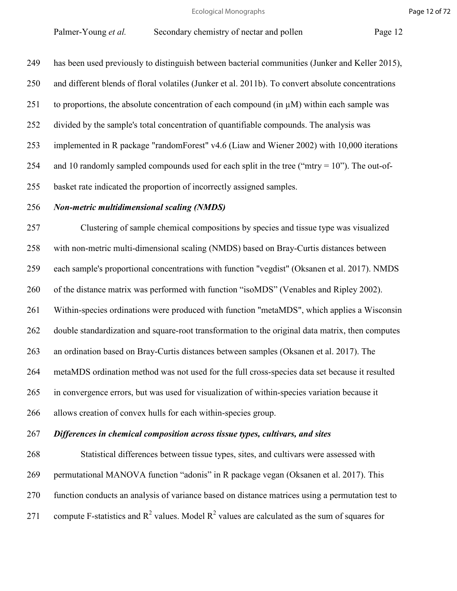| 249 | has been used previously to distinguish between bacterial communities (Junker and Keller 2015),    |
|-----|----------------------------------------------------------------------------------------------------|
| 250 | and different blends of floral volatiles (Junker et al. 2011b). To convert absolute concentrations |
| 251 | to proportions, the absolute concentration of each compound (in $\mu$ M) within each sample was    |
| 252 | divided by the sample's total concentration of quantifiable compounds. The analysis was            |
| 253 | implemented in R package "randomForest" v4.6 (Liaw and Wiener 2002) with 10,000 iterations         |
| 254 | and 10 randomly sampled compounds used for each split in the tree ("mtry $= 10$ "). The out-of-    |
| 255 | basket rate indicated the proportion of incorrectly assigned samples.                              |
|     |                                                                                                    |

### 256 *Non-metric multidimensional scaling (NMDS)*

257 Clustering of sample chemical compositions by species and tissue type was visualized 258 with non-metric multi-dimensional scaling (NMDS) based on Bray-Curtis distances between 259 each sample's proportional concentrations with function "vegdist" (Oksanen et al. 2017). NMDS 260 of the distance matrix was performed with function "isoMDS" (Venables and Ripley 2002). 261 Within-species ordinations were produced with function "metaMDS", which applies a Wisconsin 262 double standardization and square-root transformation to the original data matrix, then computes 263 an ordination based on Bray-Curtis distances between samples (Oksanen et al. 2017). The 264 metaMDS ordination method was not used for the full cross-species data set because it resulted 265 in convergence errors, but was used for visualization of within-species variation because it 266 allows creation of convex hulls for each within-species group.

#### 267 *Differences in chemical composition across tissue types, cultivars, and sites*

268 Statistical differences between tissue types, sites, and cultivars were assessed with 269 permutational MANOVA function "adonis" in R package vegan (Oksanen et al. 2017). This 270 function conducts an analysis of variance based on distance matrices using a permutation test to 271 compute F-statistics and  $R^2$  values. Model  $R^2$  values are calculated as the sum of squares for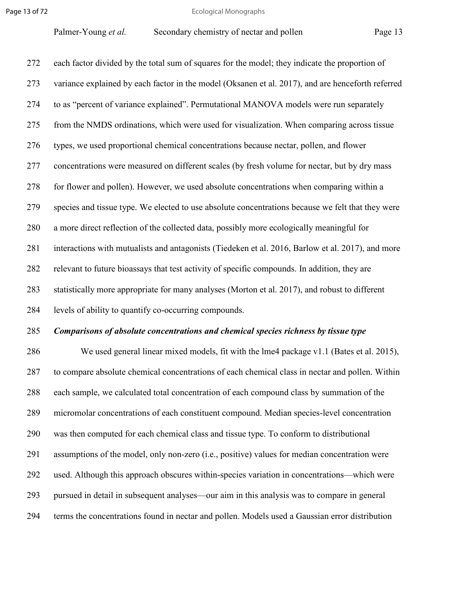272 each factor divided by the total sum of squares for the model; they indicate the proportion of 273 variance explained by each factor in the model (Oksanen et al. 2017), and are henceforth referred 274 to as "percent of variance explained". Permutational MANOVA models were run separately 275 from the NMDS ordinations, which were used for visualization. When comparing across tissue 276 types, we used proportional chemical concentrations because nectar, pollen, and flower 277 concentrations were measured on different scales (by fresh volume for nectar, but by dry mass 278 for flower and pollen). However, we used absolute concentrations when comparing within a 279 species and tissue type. We elected to use absolute concentrations because we felt that they were 280 a more direct reflection of the collected data, possibly more ecologically meaningful for 281 interactions with mutualists and antagonists (Tiedeken et al. 2016, Barlow et al. 2017), and more 282 relevant to future bioassays that test activity of specific compounds. In addition, they are 283 statistically more appropriate for many analyses (Morton et al. 2017), and robust to different 284 levels of ability to quantify co-occurring compounds.

#### 285 *Comparisons of absolute concentrations and chemical species richness by tissue type*

286 We used general linear mixed models, fit with the lme4 package v1.1 (Bates et al. 2015), 287 to compare absolute chemical concentrations of each chemical class in nectar and pollen. Within 288 each sample, we calculated total concentration of each compound class by summation of the 289 micromolar concentrations of each constituent compound. Median species-level concentration 290 was then computed for each chemical class and tissue type. To conform to distributional 291 assumptions of the model, only non-zero (i.e., positive) values for median concentration were 292 used. Although this approach obscures within-species variation in concentrations—which were 293 pursued in detail in subsequent analyses—our aim in this analysis was to compare in general 294 terms the concentrations found in nectar and pollen. Models used a Gaussian error distribution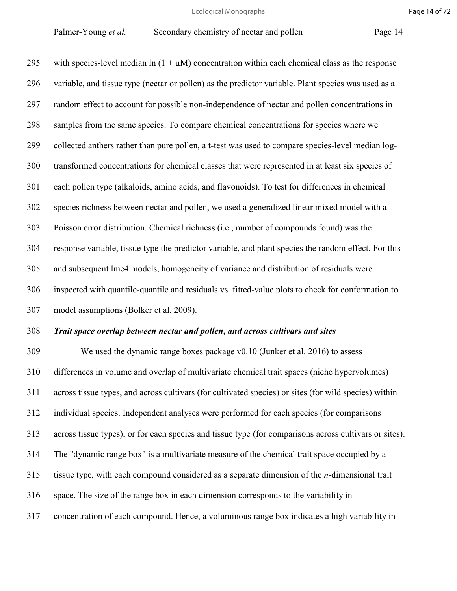| 295 | with species-level median $\ln (1 + \mu M)$ concentration within each chemical class as the response   |
|-----|--------------------------------------------------------------------------------------------------------|
| 296 | variable, and tissue type (nectar or pollen) as the predictor variable. Plant species was used as a    |
| 297 | random effect to account for possible non-independence of nectar and pollen concentrations in          |
| 298 | samples from the same species. To compare chemical concentrations for species where we                 |
| 299 | collected anthers rather than pure pollen, a t-test was used to compare species-level median log-      |
| 300 | transformed concentrations for chemical classes that were represented in at least six species of       |
| 301 | each pollen type (alkaloids, amino acids, and flavonoids). To test for differences in chemical         |
| 302 | species richness between nectar and pollen, we used a generalized linear mixed model with a            |
| 303 | Poisson error distribution. Chemical richness (i.e., number of compounds found) was the                |
| 304 | response variable, tissue type the predictor variable, and plant species the random effect. For this   |
| 305 | and subsequent lme4 models, homogeneity of variance and distribution of residuals were                 |
| 306 | inspected with quantile-quantile and residuals vs. fitted-value plots to check for conformation to     |
| 307 | model assumptions (Bolker et al. 2009).                                                                |
| 308 | Trait space overlap between nectar and pollen, and across cultivars and sites                          |
| 309 | We used the dynamic range boxes package v0.10 (Junker et al. 2016) to assess                           |
| 310 | differences in volume and overlap of multivariate chemical trait spaces (niche hypervolumes)           |
| 311 | across tissue types, and across cultivars (for cultivated species) or sites (for wild species) within  |
| 312 | individual species. Independent analyses were performed for each species (for comparisons              |
| 313 | across tissue types), or for each species and tissue type (for comparisons across cultivars or sites). |
| 314 | The "dynamic range box" is a multivariate measure of the chemical trait space occupied by a            |
| 315 | tissue type, with each compound considered as a separate dimension of the <i>n</i> -dimensional trait  |
| 316 | space. The size of the range box in each dimension corresponds to the variability in                   |
| 317 | concentration of each compound. Hence, a voluminous range box indicates a high variability in          |
|     |                                                                                                        |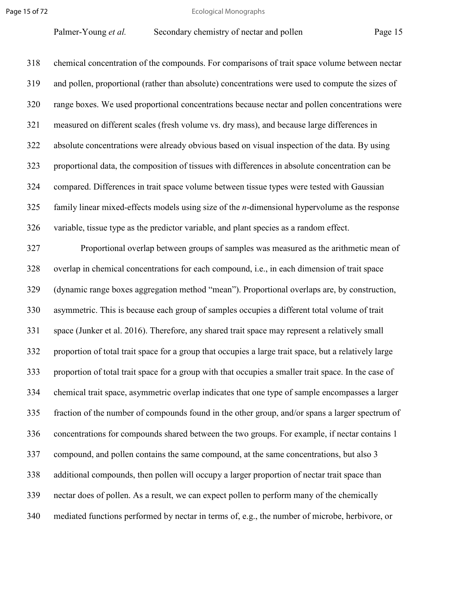| 318 | chemical concentration of the compounds. For comparisons of trait space volume between nectar         |
|-----|-------------------------------------------------------------------------------------------------------|
| 319 | and pollen, proportional (rather than absolute) concentrations were used to compute the sizes of      |
| 320 | range boxes. We used proportional concentrations because nectar and pollen concentrations were        |
| 321 | measured on different scales (fresh volume vs. dry mass), and because large differences in            |
| 322 | absolute concentrations were already obvious based on visual inspection of the data. By using         |
| 323 | proportional data, the composition of tissues with differences in absolute concentration can be       |
| 324 | compared. Differences in trait space volume between tissue types were tested with Gaussian            |
| 325 | family linear mixed-effects models using size of the $n$ -dimensional hypervolume as the response     |
| 326 | variable, tissue type as the predictor variable, and plant species as a random effect.                |
| 327 | Proportional overlap between groups of samples was measured as the arithmetic mean of                 |
| 328 | overlap in chemical concentrations for each compound, i.e., in each dimension of trait space          |
| 329 | (dynamic range boxes aggregation method "mean"). Proportional overlaps are, by construction,          |
| 330 | asymmetric. This is because each group of samples occupies a different total volume of trait          |
| 331 | space (Junker et al. 2016). Therefore, any shared trait space may represent a relatively small        |
| 332 | proportion of total trait space for a group that occupies a large trait space, but a relatively large |
| 333 | proportion of total trait space for a group with that occupies a smaller trait space. In the case of  |
| 334 | chemical trait space, asymmetric overlap indicates that one type of sample encompasses a larger       |
| 335 | fraction of the number of compounds found in the other group, and/or spans a larger spectrum of       |
| 336 | concentrations for compounds shared between the two groups. For example, if nectar contains 1         |
| 337 | compound, and pollen contains the same compound, at the same concentrations, but also 3               |
| 338 | additional compounds, then pollen will occupy a larger proportion of nectar trait space than          |
| 339 | nectar does of pollen. As a result, we can expect pollen to perform many of the chemically            |
| 340 | mediated functions performed by nectar in terms of, e.g., the number of microbe, herbivore, or        |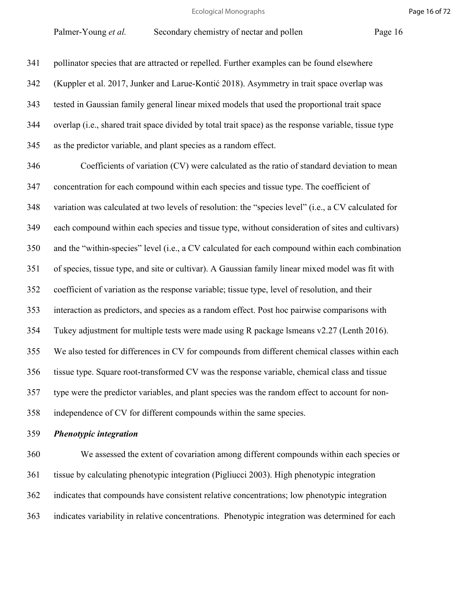341 pollinator species that are attracted or repelled. Further examples can be found elsewhere 342 (Kuppler et al. 2017, Junker and Larue-Kontić 2018). Asymmetry in trait space overlap was 343 tested in Gaussian family general linear mixed models that used the proportional trait space 344 overlap (i.e., shared trait space divided by total trait space) as the response variable, tissue type 345 as the predictor variable, and plant species as a random effect. 346 Coefficients of variation (CV) were calculated as the ratio of standard deviation to mean 347 concentration for each compound within each species and tissue type. The coefficient of 348 variation was calculated at two levels of resolution: the "species level" (i.e., a CV calculated for 349 each compound within each species and tissue type, without consideration of sites and cultivars) 350 and the "within-species" level (i.e., a CV calculated for each compound within each combination 351 of species, tissue type, and site or cultivar). A Gaussian family linear mixed model was fit with 352 coefficient of variation as the response variable; tissue type, level of resolution, and their 353 interaction as predictors, and species as a random effect. Post hoc pairwise comparisons with 354 Tukey adjustment for multiple tests were made using R package lsmeans v2.27 (Lenth 2016). 355 We also tested for differences in CV for compounds from different chemical classes within each 356 tissue type. Square root-transformed CV was the response variable, chemical class and tissue 357 type were the predictor variables, and plant species was the random effect to account for non-358 independence of CV for different compounds within the same species.

359 *Phenotypic integration* 

360 We assessed the extent of covariation among different compounds within each species or 361 tissue by calculating phenotypic integration (Pigliucci 2003). High phenotypic integration 362 indicates that compounds have consistent relative concentrations; low phenotypic integration 363 indicates variability in relative concentrations. Phenotypic integration was determined for each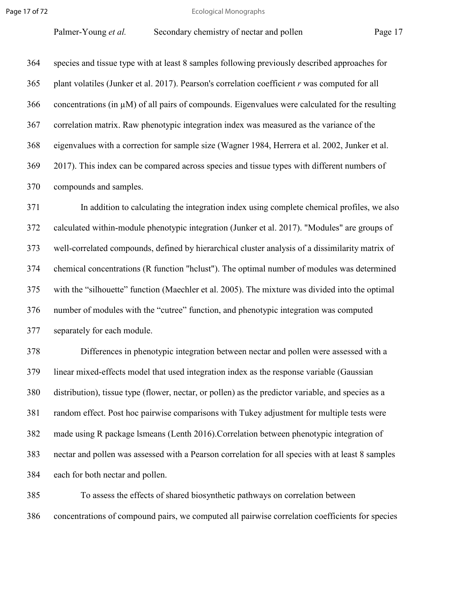364 species and tissue type with at least 8 samples following previously described approaches for 365 plant volatiles (Junker et al. 2017). Pearson's correlation coefficient *r* was computed for all 366 concentrations (in  $\mu$ M) of all pairs of compounds. Eigenvalues were calculated for the resulting 367 correlation matrix. Raw phenotypic integration index was measured as the variance of the 368 eigenvalues with a correction for sample size (Wagner 1984, Herrera et al. 2002, Junker et al. 369 2017). This index can be compared across species and tissue types with different numbers of 370 compounds and samples.

371 In addition to calculating the integration index using complete chemical profiles, we also 372 calculated within-module phenotypic integration (Junker et al. 2017). "Modules" are groups of 373 well-correlated compounds, defined by hierarchical cluster analysis of a dissimilarity matrix of 374 chemical concentrations (R function "hclust"). The optimal number of modules was determined 375 with the "silhouette" function (Maechler et al. 2005). The mixture was divided into the optimal 376 number of modules with the "cutree" function, and phenotypic integration was computed 377 separately for each module.

378 Differences in phenotypic integration between nectar and pollen were assessed with a 379 linear mixed-effects model that used integration index as the response variable (Gaussian 380 distribution), tissue type (flower, nectar, or pollen) as the predictor variable, and species as a 381 random effect. Post hoc pairwise comparisons with Tukey adjustment for multiple tests were 382 made using R package lsmeans (Lenth 2016).Correlation between phenotypic integration of 383 nectar and pollen was assessed with a Pearson correlation for all species with at least 8 samples 384 each for both nectar and pollen.

385 To assess the effects of shared biosynthetic pathways on correlation between 386 concentrations of compound pairs, we computed all pairwise correlation coefficients for species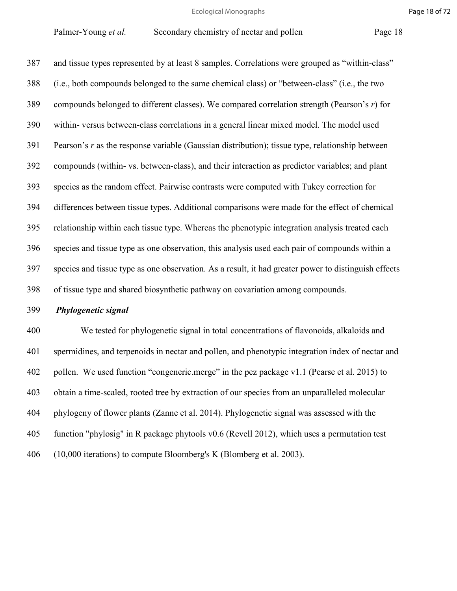| 387 | and tissue types represented by at least 8 samples. Correlations were grouped as "within-class"      |
|-----|------------------------------------------------------------------------------------------------------|
| 388 | (i.e., both compounds belonged to the same chemical class) or "between-class" (i.e., the two         |
| 389 | compounds belonged to different classes). We compared correlation strength (Pearson's $r$ ) for      |
| 390 | within-versus between-class correlations in a general linear mixed model. The model used             |
| 391 | Pearson's $r$ as the response variable (Gaussian distribution); tissue type, relationship between    |
| 392 | compounds (within- vs. between-class), and their interaction as predictor variables; and plant       |
| 393 | species as the random effect. Pairwise contrasts were computed with Tukey correction for             |
| 394 | differences between tissue types. Additional comparisons were made for the effect of chemical        |
| 395 | relationship within each tissue type. Whereas the phenotypic integration analysis treated each       |
| 396 | species and tissue type as one observation, this analysis used each pair of compounds within a       |
| 397 | species and tissue type as one observation. As a result, it had greater power to distinguish effects |
| 398 | of tissue type and shared biosynthetic pathway on covariation among compounds.                       |

#### 399 *Phylogenetic signal*

400 We tested for phylogenetic signal in total concentrations of flavonoids, alkaloids and 401 spermidines, and terpenoids in nectar and pollen, and phenotypic integration index of nectar and 402 pollen. We used function "congeneric.merge" in the pez package v1.1 (Pearse et al. 2015) to 403 obtain a time-scaled, rooted tree by extraction of our species from an unparalleled molecular 404 phylogeny of flower plants (Zanne et al. 2014). Phylogenetic signal was assessed with the 405 function "phylosig" in R package phytools v0.6 (Revell 2012), which uses a permutation test 406 (10,000 iterations) to compute Bloomberg's K (Blomberg et al. 2003).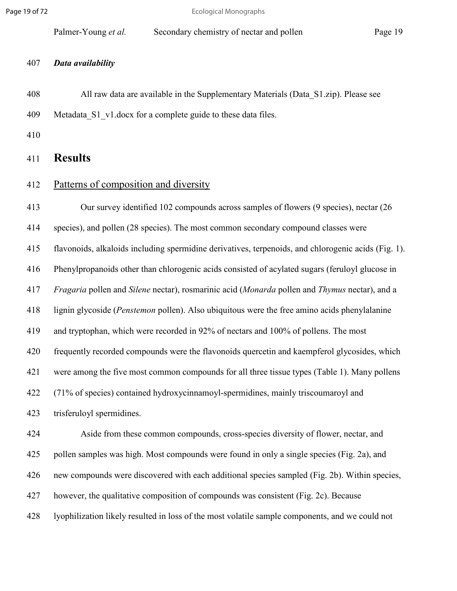### 407 *Data availability*

408 All raw data are available in the Supplementary Materials (Data\_S1.zip). Please see

409 Metadata\_S1\_v1.docx for a complete guide to these data files.

410

# 411 **Results**

## 412 Patterns of composition and diversity

413 Our survey identified 102 compounds across samples of flowers (9 species), nectar (26 414 species), and pollen (28 species). The most common secondary compound classes were 415 flavonoids, alkaloids including spermidine derivatives, terpenoids, and chlorogenic acids (Fig. 1). 416 Phenylpropanoids other than chlorogenic acids consisted of acylated sugars (feruloyl glucose in 417 *Fragaria* pollen and *Silene* nectar), rosmarinic acid (*Monarda* pollen and *Thymus* nectar), and a 418 lignin glycoside (*Penstemon* pollen). Also ubiquitous were the free amino acids phenylalanine 419 and tryptophan, which were recorded in 92% of nectars and 100% of pollens. The most 420 frequently recorded compounds were the flavonoids quercetin and kaempferol glycosides, which 421 were among the five most common compounds for all three tissue types (Table 1). Many pollens 422 (71% of species) contained hydroxycinnamoyl-spermidines, mainly triscoumaroyl and 423 trisferuloyl spermidines.

424 Aside from these common compounds, cross-species diversity of flower, nectar, and 425 pollen samples was high. Most compounds were found in only a single species (Fig. 2a), and 426 new compounds were discovered with each additional species sampled (Fig. 2b). Within species, 427 however, the qualitative composition of compounds was consistent (Fig. 2c). Because 428 lyophilization likely resulted in loss of the most volatile sample components, and we could not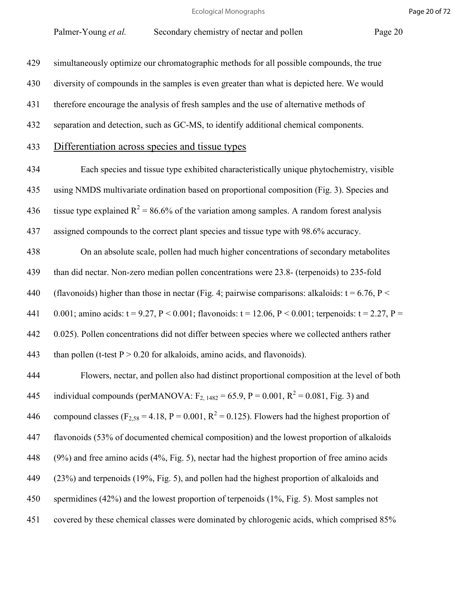429 simultaneously optimize our chromatographic methods for all possible compounds, the true

430 diversity of compounds in the samples is even greater than what is depicted here. We would

431 therefore encourage the analysis of fresh samples and the use of alternative methods of

432 separation and detection, such as GC-MS, to identify additional chemical components.

### 433 Differentiation across species and tissue types

434 Each species and tissue type exhibited characteristically unique phytochemistry, visible 435 using NMDS multivariate ordination based on proportional composition (Fig. 3). Species and 436 tissue type explained  $R^2 = 86.6\%$  of the variation among samples. A random forest analysis

437 assigned compounds to the correct plant species and tissue type with 98.6% accuracy.

438 On an absolute scale, pollen had much higher concentrations of secondary metabolites

439 than did nectar. Non-zero median pollen concentrations were 23.8- (terpenoids) to 235-fold

440 (flavonoids) higher than those in nectar (Fig. 4; pairwise comparisons: alkaloids:  $t = 6.76$ ,  $P <$ 

441 0.001; amino acids:  $t = 9.27$ ,  $P < 0.001$ ; flavonoids:  $t = 12.06$ ,  $P < 0.001$ ; terpenoids:  $t = 2.27$ ,  $P =$ 

442 0.025). Pollen concentrations did not differ between species where we collected anthers rather

443 than pollen (t-test  $P > 0.20$  for alkaloids, amino acids, and flavonoids).

444 Flowers, nectar, and pollen also had distinct proportional composition at the level of both 445 individual compounds (perMANOVA:  $F_{2, 1482} = 65.9$ , P = 0.001, R<sup>2</sup> = 0.081, Fig. 3) and 446 compound classes ( $F_{2,58} = 4.18$ ,  $P = 0.001$ ,  $R^2 = 0.125$ ). Flowers had the highest proportion of 447 flavonoids (53% of documented chemical composition) and the lowest proportion of alkaloids 448 (9%) and free amino acids (4%, Fig. 5), nectar had the highest proportion of free amino acids 449 (23%) and terpenoids (19%, Fig. 5), and pollen had the highest proportion of alkaloids and 450 spermidines (42%) and the lowest proportion of terpenoids (1%, Fig. 5). Most samples not 451 covered by these chemical classes were dominated by chlorogenic acids, which comprised 85%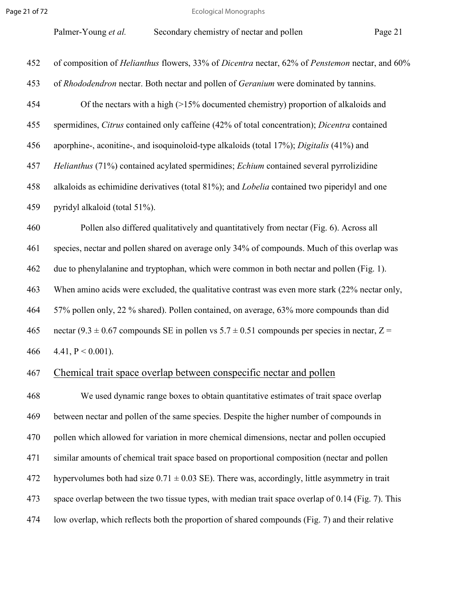| 452 | of composition of <i>Helianthus</i> flowers, 33% of <i>Dicentra</i> nectar, 62% of <i>Penstemon</i> nectar, and 60% |
|-----|---------------------------------------------------------------------------------------------------------------------|
| 453 | of Rhododendron nectar. Both nectar and pollen of Geranium were dominated by tannins.                               |
| 454 | Of the nectars with a high (>15% documented chemistry) proportion of alkaloids and                                  |
| 455 | spermidines, Citrus contained only caffeine (42% of total concentration); Dicentra contained                        |
| 456 | aporphine-, aconitine-, and isoquinoloid-type alkaloids (total 17%); Digitalis (41%) and                            |
| 457 | <i>Helianthus</i> (71%) contained acylated spermidines; <i>Echium</i> contained several pyrrolizidine               |
| 458 | alkaloids as echimidine derivatives (total 81%); and <i>Lobelia</i> contained two piperidyl and one                 |
| 459 | pyridyl alkaloid (total 51%).                                                                                       |
| 460 | Pollen also differed qualitatively and quantitatively from nectar (Fig. 6). Across all                              |
| 461 | species, nectar and pollen shared on average only 34% of compounds. Much of this overlap was                        |
| 462 | due to phenylalanine and tryptophan, which were common in both nectar and pollen (Fig. 1).                          |
| 463 | When amino acids were excluded, the qualitative contrast was even more stark (22% nectar only,                      |
| 464 | 57% pollen only, 22 % shared). Pollen contained, on average, 63% more compounds than did                            |
| 465 | nectar (9.3 ± 0.67 compounds SE in pollen vs $5.7 \pm 0.51$ compounds per species in nectar, Z =                    |
| 466 | 4.41, $P < 0.001$ ).                                                                                                |

## 467 Chemical trait space overlap between conspecific nectar and pollen

468 We used dynamic range boxes to obtain quantitative estimates of trait space overlap 469 between nectar and pollen of the same species. Despite the higher number of compounds in 470 pollen which allowed for variation in more chemical dimensions, nectar and pollen occupied 471 similar amounts of chemical trait space based on proportional composition (nectar and pollen 472 hypervolumes both had size  $0.71 \pm 0.03$  SE). There was, accordingly, little asymmetry in trait 473 space overlap between the two tissue types, with median trait space overlap of 0.14 (Fig. 7). This 474 low overlap, which reflects both the proportion of shared compounds (Fig. 7) and their relative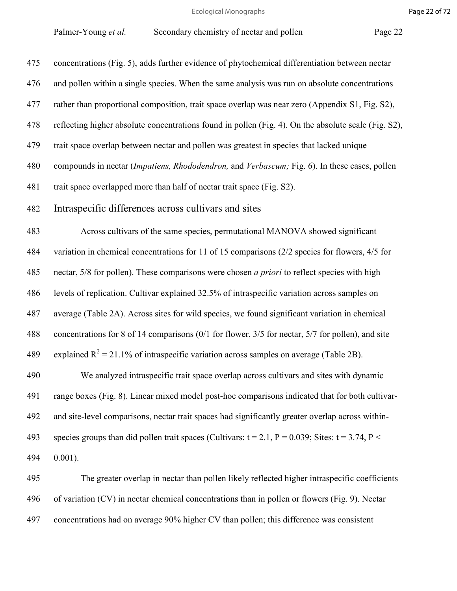Palmer-Young *et al.* Secondary chemistry of nectar and pollen Page 22 475 concentrations (Fig. 5), adds further evidence of phytochemical differentiation between nectar 476 and pollen within a single species. When the same analysis was run on absolute concentrations 477 rather than proportional composition, trait space overlap was near zero (Appendix S1, Fig. S2), 478 reflecting higher absolute concentrations found in pollen (Fig. 4). On the absolute scale (Fig. S2), 479 trait space overlap between nectar and pollen was greatest in species that lacked unique 480 compounds in nectar (*Impatiens, Rhododendron,* and *Verbascum;* Fig. 6). In these cases, pollen 481 trait space overlapped more than half of nectar trait space (Fig. S2). 482 Intraspecific differences across cultivars and sites 483 Across cultivars of the same species, permutational MANOVA showed significant 484 variation in chemical concentrations for 11 of 15 comparisons (2/2 species for flowers, 4/5 for 485 nectar, 5/8 for pollen). These comparisons were chosen *a priori* to reflect species with high 486 levels of replication. Cultivar explained 32.5% of intraspecific variation across samples on 487 average (Table 2A). Across sites for wild species, we found significant variation in chemical 488 concentrations for 8 of 14 comparisons (0/1 for flower, 3/5 for nectar, 5/7 for pollen), and site 489 explained  $R^2 = 21.1\%$  of intraspecific variation across samples on average (Table 2B). 490 We analyzed intraspecific trait space overlap across cultivars and sites with dynamic 491 range boxes (Fig. 8). Linear mixed model post-hoc comparisons indicated that for both cultivar-492 and site-level comparisons, nectar trait spaces had significantly greater overlap across within-493 species groups than did pollen trait spaces (Cultivars:  $t = 2.1$ ,  $P = 0.039$ ; Sites:  $t = 3.74$ ,  $P <$ 

494 0.001).

495 The greater overlap in nectar than pollen likely reflected higher intraspecific coefficients 496 of variation (CV) in nectar chemical concentrations than in pollen or flowers (Fig. 9). Nectar 497 concentrations had on average 90% higher CV than pollen; this difference was consistent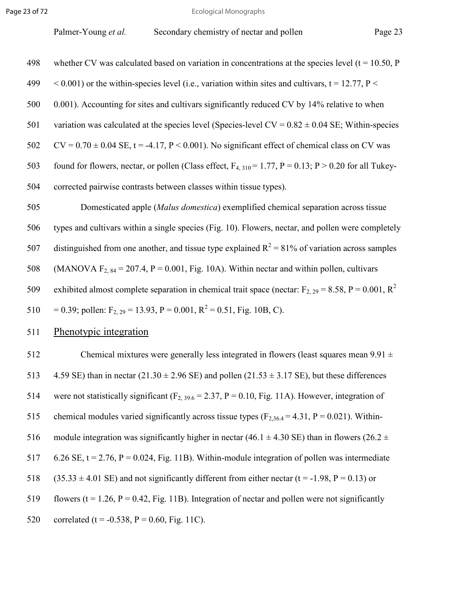| 498 | whether CV was calculated based on variation in concentrations at the species level ( $t = 10.50$ , P           |
|-----|-----------------------------------------------------------------------------------------------------------------|
| 499 | $\leq$ 0.001) or the within-species level (i.e., variation within sites and cultivars, t = 12.77, P $\leq$      |
| 500 | 0.001). Accounting for sites and cultivars significantly reduced CV by 14% relative to when                     |
| 501 | variation was calculated at the species level (Species-level CV = $0.82 \pm 0.04$ SE; Within-species            |
| 502 | $CV = 0.70 \pm 0.04$ SE, t = -4.17, P < 0.001). No significant effect of chemical class on CV was               |
| 503 | found for flowers, nectar, or pollen (Class effect, $F_{4,310} = 1.77$ , $P = 0.13$ ; $P > 0.20$ for all Tukey- |
| 504 | corrected pairwise contrasts between classes within tissue types).                                              |
| 505 | Domesticated apple ( <i>Malus domestica</i> ) exemplified chemical separation across tissue                     |
| 506 | types and cultivars within a single species (Fig. 10). Flowers, nectar, and pollen were completely              |
| 507 | distinguished from one another, and tissue type explained $R^2 = 81\%$ of variation across samples              |
| 508 | (MANOVA $F_{2,84} = 207.4$ , $P = 0.001$ , Fig. 10A). Within nectar and within pollen, cultivars                |
| 509 | exhibited almost complete separation in chemical trait space (nectar: $F_{2,29} = 8.58$ , $P = 0.001$ , $R^2$   |

510 = 0.39; pollen:  $F_{2, 29} = 13.93$ , P = 0.001, R<sup>2</sup> = 0.51, Fig. 10B, C).

### 511 Phenotypic integration

512 Chemical mixtures were generally less integrated in flowers (least squares mean  $9.91 \pm$ 513 4.59 SE) than in nectar  $(21.30 \pm 2.96 \text{ SE})$  and pollen  $(21.53 \pm 3.17 \text{ SE})$ , but these differences 514 were not statistically significant  $(F_{2, 39.6} = 2.37, P = 0.10, Fig. 11A)$ . However, integration of 515 chemical modules varied significantly across tissue types  $(F_{2,36,4} = 4.31, P = 0.021)$ . Within-516 module integration was significantly higher in nectar (46.1  $\pm$  4.30 SE) than in flowers (26.2  $\pm$ 517 6.26 SE,  $t = 2.76$ ,  $P = 0.024$ , Fig. 11B). Within-module integration of pollen was intermediate 518 (35.33  $\pm$  4.01 SE) and not significantly different from either nectar (t = -1.98, P = 0.13) or 519 flowers ( $t = 1.26$ ,  $P = 0.42$ , Fig. 11B). Integration of nectar and pollen were not significantly 520 correlated (t =  $-0.538$ , P = 0.60, Fig. 11C).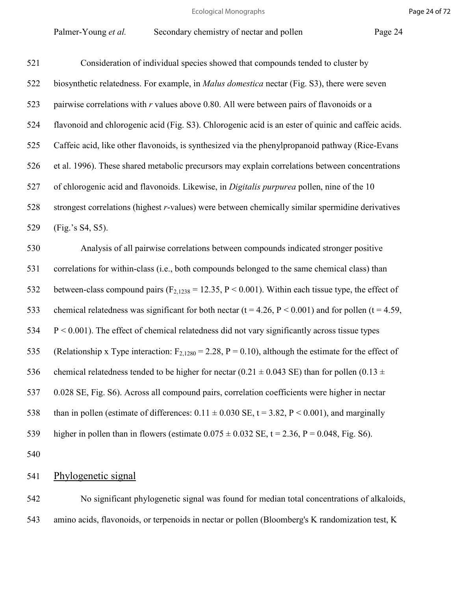| 521 | Consideration of individual species showed that compounds tended to cluster by                                  |
|-----|-----------------------------------------------------------------------------------------------------------------|
| 522 | biosynthetic relatedness. For example, in <i>Malus domestica</i> nectar (Fig. S3), there were seven             |
| 523 | pairwise correlations with $r$ values above 0.80. All were between pairs of flavonoids or a                     |
| 524 | flavonoid and chlorogenic acid (Fig. S3). Chlorogenic acid is an ester of quinic and caffeic acids.             |
| 525 | Caffeic acid, like other flavonoids, is synthesized via the phenylpropanoid pathway (Rice-Evans                 |
| 526 | et al. 1996). These shared metabolic precursors may explain correlations between concentrations                 |
| 527 | of chlorogenic acid and flavonoids. Likewise, in Digitalis purpurea pollen, nine of the 10                      |
| 528 | strongest correlations (highest r-values) were between chemically similar spermidine derivatives                |
| 529 | (Fig.'s S4, S5).                                                                                                |
| 530 | Analysis of all pairwise correlations between compounds indicated stronger positive                             |
| 531 | correlations for within-class (i.e., both compounds belonged to the same chemical class) than                   |
| 532 | between-class compound pairs ( $F_{2,1238}$ = 12.35, P < 0.001). Within each tissue type, the effect of         |
| 533 | chemical relatedness was significant for both nectar ( $t = 4.26$ , $P < 0.001$ ) and for pollen ( $t = 4.59$ , |
| 534 | $P < 0.001$ ). The effect of chemical relatedness did not vary significantly across tissue types                |
| 535 | (Relationship x Type interaction: $F_{2,1280} = 2.28$ , P = 0.10), although the estimate for the effect of      |
| 536 | chemical relatedness tended to be higher for nectar (0.21 $\pm$ 0.043 SE) than for pollen (0.13 $\pm$           |
| 537 | 0.028 SE, Fig. S6). Across all compound pairs, correlation coefficients were higher in nectar                   |
| 538 | than in pollen (estimate of differences: $0.11 \pm 0.030$ SE, $t = 3.82$ , $P < 0.001$ ), and marginally        |
| 539 | higher in pollen than in flowers (estimate $0.075 \pm 0.032$ SE, $t = 2.36$ , $P = 0.048$ , Fig. S6).           |
| 540 |                                                                                                                 |

# 541 Phylogenetic signal

542 No significant phylogenetic signal was found for median total concentrations of alkaloids, 543 amino acids, flavonoids, or terpenoids in nectar or pollen (Bloomberg's K randomization test, K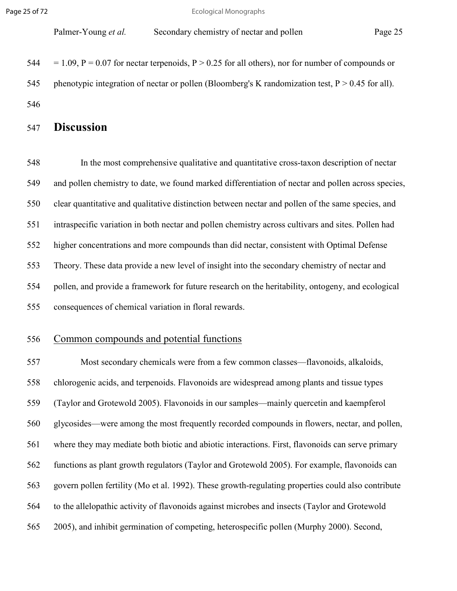544 = 1.09, P = 0.07 for nectar terpenoids, P > 0.25 for all others), nor for number of compounds or 545 phenotypic integration of nectar or pollen (Bloomberg's K randomization test,  $P > 0.45$  for all). 546

# 547 **Discussion**

548 In the most comprehensive qualitative and quantitative cross-taxon description of nectar 549 and pollen chemistry to date, we found marked differentiation of nectar and pollen across species, 550 clear quantitative and qualitative distinction between nectar and pollen of the same species, and 551 intraspecific variation in both nectar and pollen chemistry across cultivars and sites. Pollen had 552 higher concentrations and more compounds than did nectar, consistent with Optimal Defense 553 Theory. These data provide a new level of insight into the secondary chemistry of nectar and 554 pollen, and provide a framework for future research on the heritability, ontogeny, and ecological 555 consequences of chemical variation in floral rewards.

### 556 Common compounds and potential functions

557 Most secondary chemicals were from a few common classes—flavonoids, alkaloids, 558 chlorogenic acids, and terpenoids. Flavonoids are widespread among plants and tissue types 559 (Taylor and Grotewold 2005). Flavonoids in our samples—mainly quercetin and kaempferol 560 glycosides—were among the most frequently recorded compounds in flowers, nectar, and pollen, 561 where they may mediate both biotic and abiotic interactions. First, flavonoids can serve primary 562 functions as plant growth regulators (Taylor and Grotewold 2005). For example, flavonoids can 563 govern pollen fertility (Mo et al. 1992). These growth-regulating properties could also contribute 564 to the allelopathic activity of flavonoids against microbes and insects (Taylor and Grotewold 565 2005), and inhibit germination of competing, heterospecific pollen (Murphy 2000). Second,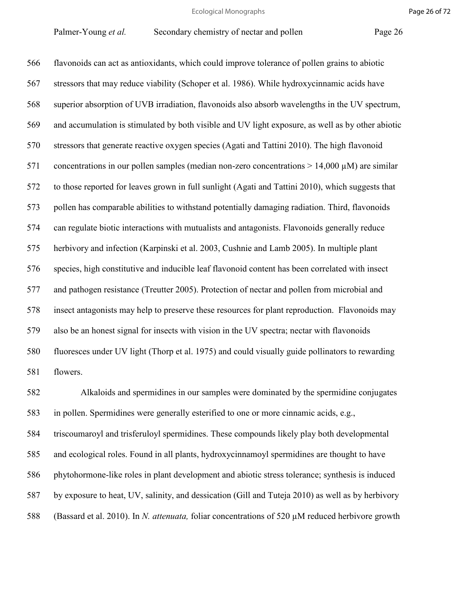| 566 | flavonoids can act as antioxidants, which could improve tolerance of pollen grains to abiotic       |
|-----|-----------------------------------------------------------------------------------------------------|
| 567 | stressors that may reduce viability (Schoper et al. 1986). While hydroxycinnamic acids have         |
| 568 | superior absorption of UVB irradiation, flavonoids also absorb wavelengths in the UV spectrum,      |
| 569 | and accumulation is stimulated by both visible and UV light exposure, as well as by other abiotic   |
| 570 | stressors that generate reactive oxygen species (Agati and Tattini 2010). The high flavonoid        |
| 571 | concentrations in our pollen samples (median non-zero concentrations $> 14,000 \mu M$ ) are similar |
| 572 | to those reported for leaves grown in full sunlight (Agati and Tattini 2010), which suggests that   |
| 573 | pollen has comparable abilities to withstand potentially damaging radiation. Third, flavonoids      |
| 574 | can regulate biotic interactions with mutualists and antagonists. Flavonoids generally reduce       |
| 575 | herbivory and infection (Karpinski et al. 2003, Cushnie and Lamb 2005). In multiple plant           |
| 576 | species, high constitutive and inducible leaf flavonoid content has been correlated with insect     |
| 577 | and pathogen resistance (Treutter 2005). Protection of nectar and pollen from microbial and         |
| 578 | insect antagonists may help to preserve these resources for plant reproduction. Flavonoids may      |
| 579 | also be an honest signal for insects with vision in the UV spectra; nectar with flavonoids          |
| 580 | fluoresces under UV light (Thorp et al. 1975) and could visually guide pollinators to rewarding     |
| 581 | flowers.                                                                                            |

582 Alkaloids and spermidines in our samples were dominated by the spermidine conjugates 583 in pollen. Spermidines were generally esterified to one or more cinnamic acids, e.g., 584 triscoumaroyl and trisferuloyl spermidines. These compounds likely play both developmental 585 and ecological roles. Found in all plants, hydroxycinnamoyl spermidines are thought to have 586 phytohormone-like roles in plant development and abiotic stress tolerance; synthesis is induced 587 by exposure to heat, UV, salinity, and dessication (Gill and Tuteja 2010) as well as by herbivory 588 (Bassard et al. 2010). In *N. attenuata,* foliar concentrations of 520 µM reduced herbivore growth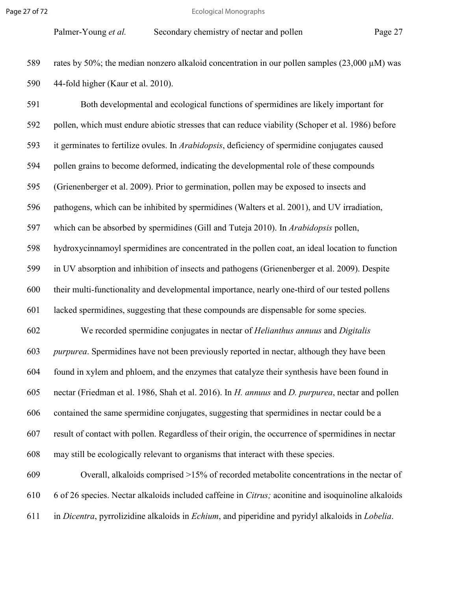591 Both developmental and ecological functions of spermidines are likely important for 592 pollen, which must endure abiotic stresses that can reduce viability (Schoper et al. 1986) before 593 it germinates to fertilize ovules. In *Arabidopsis*, deficiency of spermidine conjugates caused 594 pollen grains to become deformed, indicating the developmental role of these compounds 595 (Grienenberger et al. 2009). Prior to germination, pollen may be exposed to insects and 596 pathogens, which can be inhibited by spermidines (Walters et al. 2001), and UV irradiation, 597 which can be absorbed by spermidines (Gill and Tuteja 2010). In *Arabidopsis* pollen, 598 hydroxycinnamoyl spermidines are concentrated in the pollen coat, an ideal location to function 599 in UV absorption and inhibition of insects and pathogens (Grienenberger et al. 2009). Despite 600 their multi-functionality and developmental importance, nearly one-third of our tested pollens 601 lacked spermidines, suggesting that these compounds are dispensable for some species. 602 We recorded spermidine conjugates in nectar of *Helianthus annuus* and *Digitalis*  603 *purpurea*. Spermidines have not been previously reported in nectar, although they have been 604 found in xylem and phloem, and the enzymes that catalyze their synthesis have been found in 605 nectar (Friedman et al. 1986, Shah et al. 2016). In *H. annuus* and *D. purpurea*, nectar and pollen 606 contained the same spermidine conjugates, suggesting that spermidines in nectar could be a 607 result of contact with pollen. Regardless of their origin, the occurrence of spermidines in nectar 608 may still be ecologically relevant to organisms that interact with these species. 609 Overall, alkaloids comprised >15% of recorded metabolite concentrations in the nectar of

610 6 of 26 species. Nectar alkaloids included caffeine in *Citrus;* aconitine and isoquinoline alkaloids 611 in *Dicentra*, pyrrolizidine alkaloids in *Echium*, and piperidine and pyridyl alkaloids in *Lobelia*.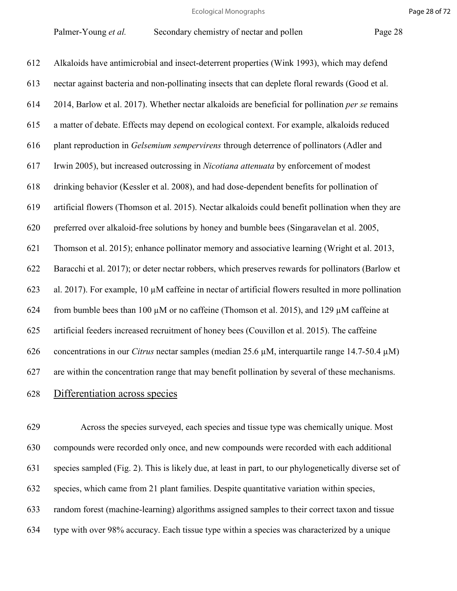| 612 | Alkaloids have antimicrobial and insect-deterrent properties (Wink 1993), which may defend                      |
|-----|-----------------------------------------------------------------------------------------------------------------|
| 613 | nectar against bacteria and non-pollinating insects that can deplete floral rewards (Good et al.                |
| 614 | 2014, Barlow et al. 2017). Whether nectar alkaloids are beneficial for pollination <i>per se</i> remains        |
| 615 | a matter of debate. Effects may depend on ecological context. For example, alkaloids reduced                    |
| 616 | plant reproduction in Gelsemium sempervirens through deterrence of pollinators (Adler and                       |
| 617 | Irwin 2005), but increased outcrossing in Nicotiana attenuata by enforcement of modest                          |
| 618 | drinking behavior (Kessler et al. 2008), and had dose-dependent benefits for pollination of                     |
| 619 | artificial flowers (Thomson et al. 2015). Nectar alkaloids could benefit pollination when they are              |
| 620 | preferred over alkaloid-free solutions by honey and bumble bees (Singaravelan et al. 2005,                      |
| 621 | Thomson et al. 2015); enhance pollinator memory and associative learning (Wright et al. 2013,                   |
| 622 | Baracchi et al. 2017); or deter nectar robbers, which preserves rewards for pollinators (Barlow et              |
| 623 | al. 2017). For example, 10 $\mu$ M caffeine in nectar of artificial flowers resulted in more pollination        |
| 624 | from bumble bees than 100 $\mu$ M or no caffeine (Thomson et al. 2015), and 129 $\mu$ M caffeine at             |
| 625 | artificial feeders increased recruitment of honey bees (Couvillon et al. 2015). The caffeine                    |
| 626 | concentrations in our <i>Citrus</i> nectar samples (median 25.6 $\mu$ M, interquartile range 14.7-50.4 $\mu$ M) |
| 627 | are within the concentration range that may benefit pollination by several of these mechanisms.                 |
| 628 | Differentiation across species                                                                                  |

629 Across the species surveyed, each species and tissue type was chemically unique. Most 630 compounds were recorded only once, and new compounds were recorded with each additional 631 species sampled (Fig. 2). This is likely due, at least in part, to our phylogenetically diverse set of 632 species, which came from 21 plant families. Despite quantitative variation within species, 633 random forest (machine-learning) algorithms assigned samples to their correct taxon and tissue 634 type with over 98% accuracy. Each tissue type within a species was characterized by a unique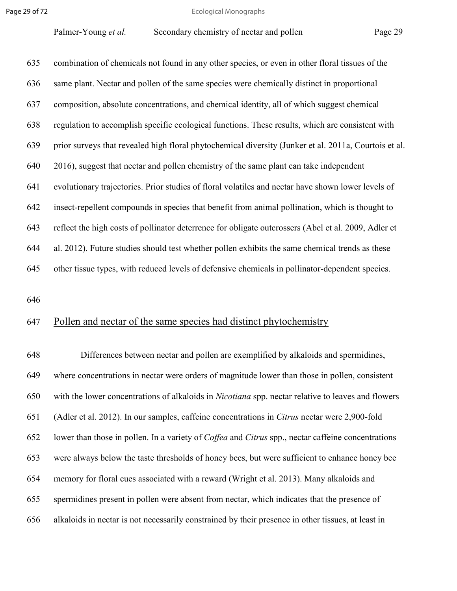| 635 | combination of chemicals not found in any other species, or even in other floral tissues of the       |
|-----|-------------------------------------------------------------------------------------------------------|
| 636 | same plant. Nectar and pollen of the same species were chemically distinct in proportional            |
| 637 | composition, absolute concentrations, and chemical identity, all of which suggest chemical            |
| 638 | regulation to accomplish specific ecological functions. These results, which are consistent with      |
| 639 | prior surveys that revealed high floral phytochemical diversity (Junker et al. 2011a, Courtois et al. |
| 640 | 2016), suggest that nectar and pollen chemistry of the same plant can take independent                |
| 641 | evolutionary trajectories. Prior studies of floral volatiles and nectar have shown lower levels of    |
| 642 | insect-repellent compounds in species that benefit from animal pollination, which is thought to       |
| 643 | reflect the high costs of pollinator deterrence for obligate outcrossers (Abel et al. 2009, Adler et  |
| 644 | al. 2012). Future studies should test whether pollen exhibits the same chemical trends as these       |
| 645 | other tissue types, with reduced levels of defensive chemicals in pollinator-dependent species.       |

646

# 647 Pollen and nectar of the same species had distinct phytochemistry

648 Differences between nectar and pollen are exemplified by alkaloids and spermidines, 649 where concentrations in nectar were orders of magnitude lower than those in pollen, consistent 650 with the lower concentrations of alkaloids in *Nicotiana* spp. nectar relative to leaves and flowers 651 (Adler et al. 2012). In our samples, caffeine concentrations in *Citrus* nectar were 2,900-fold 652 lower than those in pollen. In a variety of *Coffea* and *Citrus* spp., nectar caffeine concentrations 653 were always below the taste thresholds of honey bees, but were sufficient to enhance honey bee 654 memory for floral cues associated with a reward (Wright et al. 2013). Many alkaloids and 655 spermidines present in pollen were absent from nectar, which indicates that the presence of 656 alkaloids in nectar is not necessarily constrained by their presence in other tissues, at least in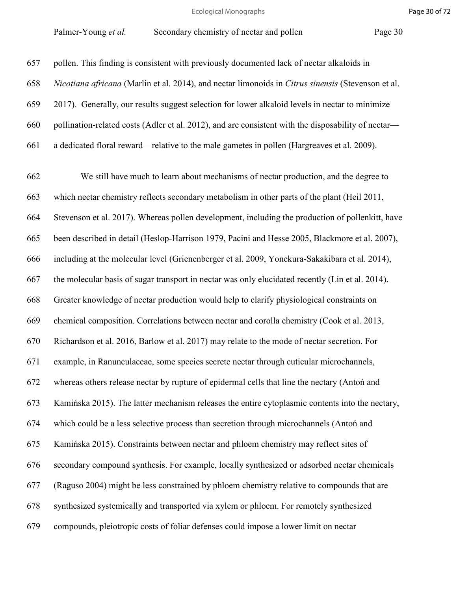| 657 | pollen. This finding is consistent with previously documented lack of nectar alkaloids in                        |
|-----|------------------------------------------------------------------------------------------------------------------|
| 658 | <i>Nicotiana africana</i> (Marlin et al. 2014), and nectar limonoids in <i>Citrus sinensis</i> (Stevenson et al. |
| 659 | 2017). Generally, our results suggest selection for lower alkaloid levels in nectar to minimize                  |
| 660 | pollination-related costs (Adler et al. 2012), and are consistent with the disposability of nectar—              |
| 661 | a dedicated floral reward—relative to the male gametes in pollen (Hargreaves et al. 2009).                       |

662 We still have much to learn about mechanisms of nectar production, and the degree to 663 which nectar chemistry reflects secondary metabolism in other parts of the plant (Heil 2011, 664 Stevenson et al. 2017). Whereas pollen development, including the production of pollenkitt, have 665 been described in detail (Heslop-Harrison 1979, Pacini and Hesse 2005, Blackmore et al. 2007), 666 including at the molecular level (Grienenberger et al. 2009, Yonekura-Sakakibara et al. 2014), 667 the molecular basis of sugar transport in nectar was only elucidated recently (Lin et al. 2014). 668 Greater knowledge of nectar production would help to clarify physiological constraints on 669 chemical composition. Correlations between nectar and corolla chemistry (Cook et al. 2013, 670 Richardson et al. 2016, Barlow et al. 2017) may relate to the mode of nectar secretion. For 671 example, in Ranunculaceae, some species secrete nectar through cuticular microchannels, 672 whereas others release nectar by rupture of epidermal cells that line the nectary (Antoń and 673 Kamińska 2015). The latter mechanism releases the entire cytoplasmic contents into the nectary, 674 which could be a less selective process than secretion through microchannels (Antoń and 675 Kamińska 2015). Constraints between nectar and phloem chemistry may reflect sites of 676 secondary compound synthesis. For example, locally synthesized or adsorbed nectar chemicals 677 (Raguso 2004) might be less constrained by phloem chemistry relative to compounds that are 678 synthesized systemically and transported via xylem or phloem. For remotely synthesized 679 compounds, pleiotropic costs of foliar defenses could impose a lower limit on nectar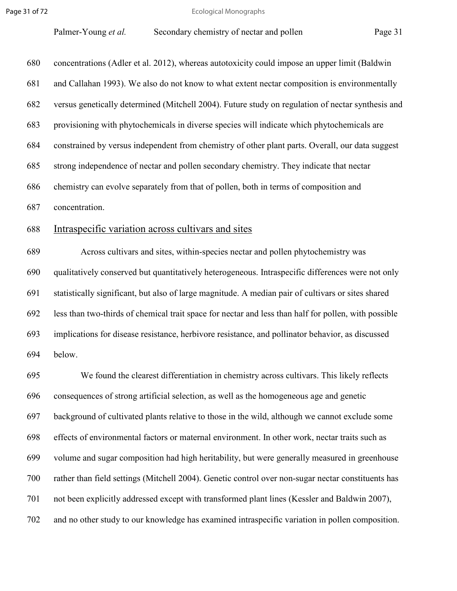| 680 | concentrations (Adler et al. 2012), whereas autotoxicity could impose an upper limit (Baldwin        |
|-----|------------------------------------------------------------------------------------------------------|
| 681 | and Callahan 1993). We also do not know to what extent nectar composition is environmentally         |
| 682 | versus genetically determined (Mitchell 2004). Future study on regulation of nectar synthesis and    |
| 683 | provisioning with phytochemicals in diverse species will indicate which phytochemicals are           |
| 684 | constrained by versus independent from chemistry of other plant parts. Overall, our data suggest     |
| 685 | strong independence of nectar and pollen secondary chemistry. They indicate that nectar              |
| 686 | chemistry can evolve separately from that of pollen, both in terms of composition and                |
| 687 | concentration.                                                                                       |
| 688 | Intraspecific variation across cultivars and sites                                                   |
| 689 | Across cultivars and sites, within-species nectar and pollen phytochemistry was                      |
| 690 | qualitatively conserved but quantitatively heterogeneous. Intraspecific differences were not only    |
| 691 | statistically significant, but also of large magnitude. A median pair of cultivars or sites shared   |
| 692 | less than two-thirds of chemical trait space for nectar and less than half for pollen, with possible |
| 693 | implications for disease resistance, herbivore resistance, and pollinator behavior, as discussed     |
| 694 | below.                                                                                               |
| 695 | We found the clearest differentiation in chemistry across cultivars. This likely reflects            |
| 696 | consequences of strong artificial selection, as well as the homogeneous age and genetic              |
| 697 | background of cultivated plants relative to those in the wild, although we cannot exclude some       |
| 698 | effects of environmental factors or maternal environment. In other work, nectar traits such as       |
| 699 | volume and sugar composition had high heritability, but were generally measured in greenhouse        |
| 700 | rather than field settings (Mitchell 2004). Genetic control over non-sugar nectar constituents has   |
| 701 | not been explicitly addressed except with transformed plant lines (Kessler and Baldwin 2007),        |
|     |                                                                                                      |

702 and no other study to our knowledge has examined intraspecific variation in pollen composition.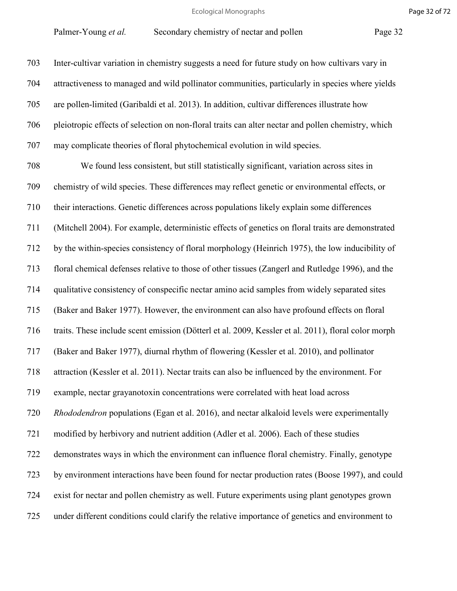703 Inter-cultivar variation in chemistry suggests a need for future study on how cultivars vary in 704 attractiveness to managed and wild pollinator communities, particularly in species where yields 705 are pollen-limited (Garibaldi et al. 2013). In addition, cultivar differences illustrate how 706 pleiotropic effects of selection on non-floral traits can alter nectar and pollen chemistry, which 707 may complicate theories of floral phytochemical evolution in wild species.

708 We found less consistent, but still statistically significant, variation across sites in 709 chemistry of wild species. These differences may reflect genetic or environmental effects, or 710 their interactions. Genetic differences across populations likely explain some differences 711 (Mitchell 2004). For example, deterministic effects of genetics on floral traits are demonstrated 712 by the within-species consistency of floral morphology (Heinrich 1975), the low inducibility of 713 floral chemical defenses relative to those of other tissues (Zangerl and Rutledge 1996), and the 714 qualitative consistency of conspecific nectar amino acid samples from widely separated sites 715 (Baker and Baker 1977). However, the environment can also have profound effects on floral 716 traits. These include scent emission (Dötterl et al. 2009, Kessler et al. 2011), floral color morph 717 (Baker and Baker 1977), diurnal rhythm of flowering (Kessler et al. 2010), and pollinator 718 attraction (Kessler et al. 2011). Nectar traits can also be influenced by the environment. For 719 example, nectar grayanotoxin concentrations were correlated with heat load across 720 *Rhododendron* populations (Egan et al. 2016), and nectar alkaloid levels were experimentally 721 modified by herbivory and nutrient addition (Adler et al. 2006). Each of these studies 722 demonstrates ways in which the environment can influence floral chemistry. Finally, genotype 723 by environment interactions have been found for nectar production rates (Boose 1997), and could 724 exist for nectar and pollen chemistry as well. Future experiments using plant genotypes grown 725 under different conditions could clarify the relative importance of genetics and environment to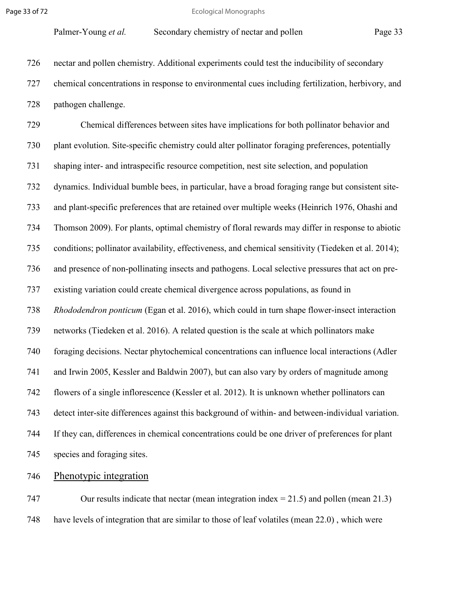726 nectar and pollen chemistry. Additional experiments could test the inducibility of secondary 727 chemical concentrations in response to environmental cues including fertilization, herbivory, and 728 pathogen challenge.

729 Chemical differences between sites have implications for both pollinator behavior and 730 plant evolution. Site-specific chemistry could alter pollinator foraging preferences, potentially 731 shaping inter- and intraspecific resource competition, nest site selection, and population 732 dynamics. Individual bumble bees, in particular, have a broad foraging range but consistent site-733 and plant-specific preferences that are retained over multiple weeks (Heinrich 1976, Ohashi and 734 Thomson 2009). For plants, optimal chemistry of floral rewards may differ in response to abiotic 735 conditions; pollinator availability, effectiveness, and chemical sensitivity (Tiedeken et al. 2014); 736 and presence of non-pollinating insects and pathogens. Local selective pressures that act on pre-737 existing variation could create chemical divergence across populations, as found in 738 *Rhododendron ponticum* (Egan et al. 2016), which could in turn shape flower-insect interaction 739 networks (Tiedeken et al. 2016). A related question is the scale at which pollinators make 740 foraging decisions. Nectar phytochemical concentrations can influence local interactions (Adler 741 and Irwin 2005, Kessler and Baldwin 2007), but can also vary by orders of magnitude among 742 flowers of a single inflorescence (Kessler et al. 2012). It is unknown whether pollinators can 743 detect inter-site differences against this background of within- and between-individual variation. 744 If they can, differences in chemical concentrations could be one driver of preferences for plant 745 species and foraging sites.

746 Phenotypic integration

747 Our results indicate that nectar (mean integration index = 21.5) and pollen (mean 21.3) 748 have levels of integration that are similar to those of leaf volatiles (mean 22.0) , which were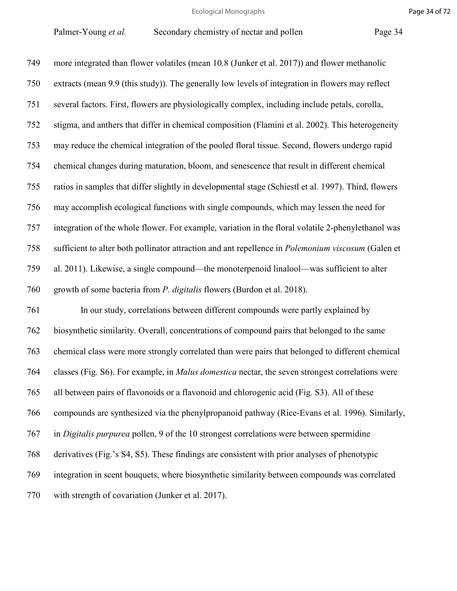| 749 | more integrated than flower volatiles (mean 10.8 (Junker et al. 2017)) and flower methanolic              |
|-----|-----------------------------------------------------------------------------------------------------------|
| 750 | extracts (mean 9.9 (this study)). The generally low levels of integration in flowers may reflect          |
| 751 | several factors. First, flowers are physiologically complex, including include petals, corolla,           |
| 752 | stigma, and anthers that differ in chemical composition (Flamini et al. 2002). This heterogeneity         |
| 753 | may reduce the chemical integration of the pooled floral tissue. Second, flowers undergo rapid            |
| 754 | chemical changes during maturation, bloom, and senescence that result in different chemical               |
| 755 | ratios in samples that differ slightly in developmental stage (Schiestl et al. 1997). Third, flowers      |
| 756 | may accomplish ecological functions with single compounds, which may lessen the need for                  |
| 757 | integration of the whole flower. For example, variation in the floral volatile 2-phenylethanol was        |
| 758 | sufficient to alter both pollinator attraction and ant repellence in <i>Polemonium viscosum</i> (Galen et |
| 759 | al. 2011). Likewise, a single compound—the monoterpenoid linalool—was sufficient to alter                 |
| 760 | growth of some bacteria from P. digitalis flowers (Burdon et al. 2018).                                   |
| 761 | In our study, correlations between different compounds were partly explained by                           |
| 762 | biosynthetic similarity. Overall, concentrations of compound pairs that belonged to the same              |
| 763 | chemical class were more strongly correlated than were pairs that belonged to different chemical          |
| 764 | classes (Fig. S6). For example, in <i>Malus domestica</i> nectar, the seven strongest correlations were   |
| 765 | all between pairs of flavonoids or a flavonoid and chlorogenic acid (Fig. S3). All of these               |
| 766 | compounds are synthesized via the phenylpropanoid pathway (Rice-Evans et al. 1996). Similarly,            |
| 767 | in Digitalis purpurea pollen, 9 of the 10 strongest correlations were between spermidine                  |
| 768 | derivatives (Fig.'s S4, S5). These findings are consistent with prior analyses of phenotypic              |
| 769 | integration in scent bouquets, where biosynthetic similarity between compounds was correlated             |
| 770 | with strength of covariation (Junker et al. 2017).                                                        |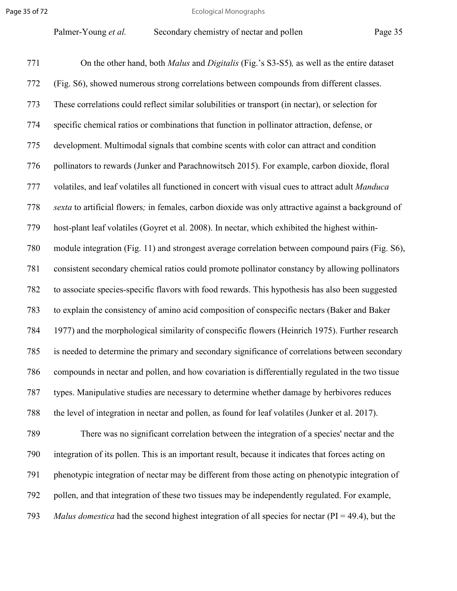| 771 | On the other hand, both <i>Malus</i> and <i>Digitalis</i> (Fig.'s S3-S5), as well as the entire dataset |
|-----|---------------------------------------------------------------------------------------------------------|
| 772 | (Fig. S6), showed numerous strong correlations between compounds from different classes.                |
| 773 | These correlations could reflect similar solubilities or transport (in nectar), or selection for        |
| 774 | specific chemical ratios or combinations that function in pollinator attraction, defense, or            |
| 775 | development. Multimodal signals that combine scents with color can attract and condition                |
| 776 | pollinators to rewards (Junker and Parachnowitsch 2015). For example, carbon dioxide, floral            |
| 777 | volatiles, and leaf volatiles all functioned in concert with visual cues to attract adult Manduca       |
| 778 | sexta to artificial flowers; in females, carbon dioxide was only attractive against a background of     |
| 779 | host-plant leaf volatiles (Goyret et al. 2008). In nectar, which exhibited the highest within-          |
| 780 | module integration (Fig. 11) and strongest average correlation between compound pairs (Fig. S6),        |
| 781 | consistent secondary chemical ratios could promote pollinator constancy by allowing pollinators         |
| 782 | to associate species-specific flavors with food rewards. This hypothesis has also been suggested        |
| 783 | to explain the consistency of amino acid composition of conspecific nectars (Baker and Baker            |
| 784 | 1977) and the morphological similarity of conspecific flowers (Heinrich 1975). Further research         |
| 785 | is needed to determine the primary and secondary significance of correlations between secondary         |
| 786 | compounds in nectar and pollen, and how covariation is differentially regulated in the two tissue       |
| 787 | types. Manipulative studies are necessary to determine whether damage by herbivores reduces             |
| 788 | the level of integration in nectar and pollen, as found for leaf volatiles (Junker et al. 2017).        |
| 789 | There was no significant correlation between the integration of a species' nectar and the               |
| 790 | integration of its pollen. This is an important result, because it indicates that forces acting on      |
| 791 | phenotypic integration of nectar may be different from those acting on phenotypic integration of        |
| 792 | pollen, and that integration of these two tissues may be independently regulated. For example,          |
| 793 | Malus domestica had the second highest integration of all species for nectar ( $PI = 49.4$ ), but the   |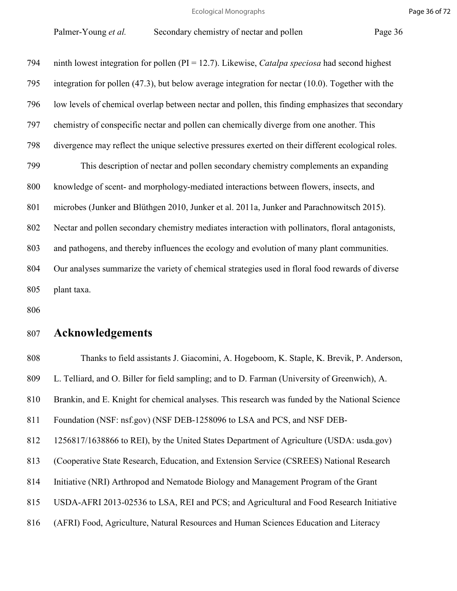| 794 | ninth lowest integration for pollen ( $PI = 12.7$ ). Likewise, <i>Catalpa speciosa</i> had second highest |
|-----|-----------------------------------------------------------------------------------------------------------|
| 795 | integration for pollen $(47.3)$ , but below average integration for nectar $(10.0)$ . Together with the   |
| 796 | low levels of chemical overlap between nectar and pollen, this finding emphasizes that secondary          |
| 797 | chemistry of conspecific nectar and pollen can chemically diverge from one another. This                  |
| 798 | divergence may reflect the unique selective pressures exerted on their different ecological roles.        |
| 799 | This description of nectar and pollen secondary chemistry complements an expanding                        |
| 800 | knowledge of scent- and morphology-mediated interactions between flowers, insects, and                    |
| 801 | microbes (Junker and Blüthgen 2010, Junker et al. 2011a, Junker and Parachnowitsch 2015).                 |
| 802 | Nectar and pollen secondary chemistry mediates interaction with pollinators, floral antagonists,          |
| 803 | and pathogens, and thereby influences the ecology and evolution of many plant communities.                |
| 804 | Our analyses summarize the variety of chemical strategies used in floral food rewards of diverse          |
| 805 | plant taxa.                                                                                               |

806

## 807 **Acknowledgements**

808 Thanks to field assistants J. Giacomini, A. Hogeboom, K. Staple, K. Brevik, P. Anderson, 809 L. Telliard, and O. Biller for field sampling; and to D. Farman (University of Greenwich), A. 810 Brankin, and E. Knight for chemical analyses. This research was funded by the National Science 811 Foundation (NSF: nsf.gov) (NSF DEB-1258096 to LSA and PCS, and NSF DEB-812 1256817/1638866 to REI), by the United States Department of Agriculture (USDA: usda.gov) 813 (Cooperative State Research, Education, and Extension Service (CSREES) National Research 814 Initiative (NRI) Arthropod and Nematode Biology and Management Program of the Grant 815 USDA-AFRI 2013-02536 to LSA, REI and PCS; and Agricultural and Food Research Initiative 816 (AFRI) Food, Agriculture, Natural Resources and Human Sciences Education and Literacy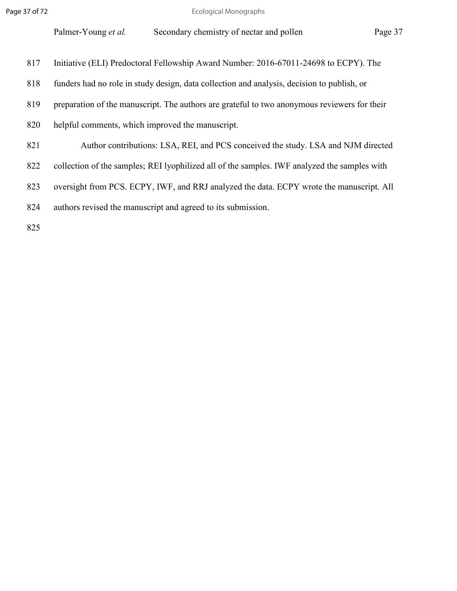817 Initiative (ELI) Predoctoral Fellowship Award Number: 2016-67011-24698 to ECPY). The

818 funders had no role in study design, data collection and analysis, decision to publish, or

819 preparation of the manuscript. The authors are grateful to two anonymous reviewers for their

820 helpful comments, which improved the manuscript.

821 Author contributions: LSA, REI, and PCS conceived the study. LSA and NJM directed

822 collection of the samples; REI lyophilized all of the samples. IWF analyzed the samples with

823 oversight from PCS. ECPY, IWF, and RRJ analyzed the data. ECPY wrote the manuscript. All

824 authors revised the manuscript and agreed to its submission.

825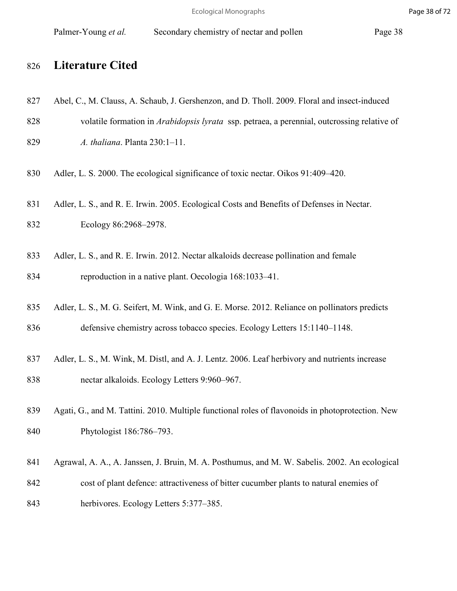### 826 **Literature Cited**

- 827 Abel, C., M. Clauss, A. Schaub, J. Gershenzon, and D. Tholl. 2009. Floral and insect-induced
- 828 volatile formation in *Arabidopsis lyrata* ssp. petraea, a perennial, outcrossing relative of
- 829 *A. thaliana*. Planta 230:1–11.
- 830 Adler, L. S. 2000. The ecological significance of toxic nectar. Oikos 91:409–420.
- 831 Adler, L. S., and R. E. Irwin. 2005. Ecological Costs and Benefits of Defenses in Nectar.
- 832 Ecology 86:2968–2978.
- 833 Adler, L. S., and R. E. Irwin. 2012. Nectar alkaloids decrease pollination and female 834 reproduction in a native plant. Oecologia 168:1033–41.
- 835 Adler, L. S., M. G. Seifert, M. Wink, and G. E. Morse. 2012. Reliance on pollinators predicts 836 defensive chemistry across tobacco species. Ecology Letters 15:1140–1148.
- 837 Adler, L. S., M. Wink, M. Distl, and A. J. Lentz. 2006. Leaf herbivory and nutrients increase 838 nectar alkaloids. Ecology Letters 9:960–967.
- 839 Agati, G., and M. Tattini. 2010. Multiple functional roles of flavonoids in photoprotection. New 840 Phytologist 186:786–793.
- 841 Agrawal, A. A., A. Janssen, J. Bruin, M. A. Posthumus, and M. W. Sabelis. 2002. An ecological 842 cost of plant defence: attractiveness of bitter cucumber plants to natural enemies of 843 herbivores. Ecology Letters 5:377–385.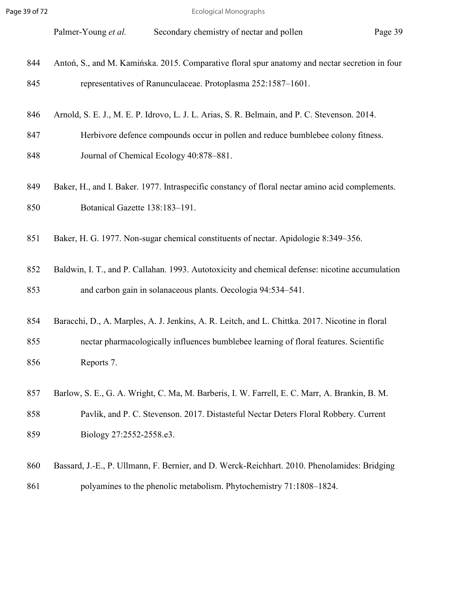| 844 | Anton, S., and M. Kaminska. 2015. Comparative floral spur anatomy and nectar secretion in four |
|-----|------------------------------------------------------------------------------------------------|
| 845 | representatives of Ranunculaceae. Protoplasma 252:1587–1601.                                   |

- 846 Arnold, S. E. J., M. E. P. Idrovo, L. J. L. Arias, S. R. Belmain, and P. C. Stevenson. 2014.
- 847 Herbivore defence compounds occur in pollen and reduce bumblebee colony fitness. 848 Journal of Chemical Ecology 40:878–881.
- 849 Baker, H., and I. Baker. 1977. Intraspecific constancy of floral nectar amino acid complements. 850 Botanical Gazette 138:183–191.
- 851 Baker, H. G. 1977. Non-sugar chemical constituents of nectar. Apidologie 8:349–356.
- 852 Baldwin, I. T., and P. Callahan. 1993. Autotoxicity and chemical defense: nicotine accumulation 853 and carbon gain in solanaceous plants. Oecologia 94:534–541.
- 854 Baracchi, D., A. Marples, A. J. Jenkins, A. R. Leitch, and L. Chittka. 2017. Nicotine in floral 855 nectar pharmacologically influences bumblebee learning of floral features. Scientific 856 Reports 7.
- 857 Barlow, S. E., G. A. Wright, C. Ma, M. Barberis, I. W. Farrell, E. C. Marr, A. Brankin, B. M. 858 Pavlik, and P. C. Stevenson. 2017. Distasteful Nectar Deters Floral Robbery. Current 859 Biology 27:2552-2558.e3.
- 860 Bassard, J.-E., P. Ullmann, F. Bernier, and D. Werck-Reichhart. 2010. Phenolamides: Bridging 861 polyamines to the phenolic metabolism. Phytochemistry 71:1808–1824.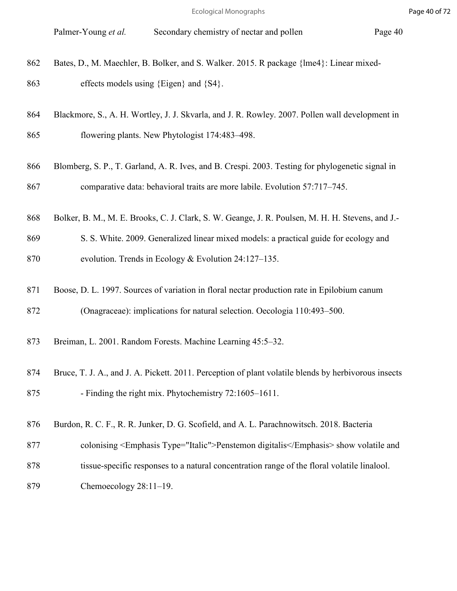- 862 Bates, D., M. Maechler, B. Bolker, and S. Walker. 2015. R package {lme4}: Linear mixed-863 effects models using {Eigen} and {S4}.
- 864 Blackmore, S., A. H. Wortley, J. J. Skvarla, and J. R. Rowley. 2007. Pollen wall development in 865 flowering plants. New Phytologist 174:483–498.
- 866 Blomberg, S. P., T. Garland, A. R. Ives, and B. Crespi. 2003. Testing for phylogenetic signal in 867 comparative data: behavioral traits are more labile. Evolution 57:717–745.
- 868 Bolker, B. M., M. E. Brooks, C. J. Clark, S. W. Geange, J. R. Poulsen, M. H. H. Stevens, and J.-
- 869 S. S. White. 2009. Generalized linear mixed models: a practical guide for ecology and 870 evolution. Trends in Ecology & Evolution 24:127–135.
- 871 Boose, D. L. 1997. Sources of variation in floral nectar production rate in Epilobium canum 872 (Onagraceae): implications for natural selection. Oecologia 110:493–500.
- 873 Breiman, L. 2001. Random Forests. Machine Learning 45:5–32.
- 874 Bruce, T. J. A., and J. A. Pickett. 2011. Perception of plant volatile blends by herbivorous insects 875 - Finding the right mix. Phytochemistry 72:1605–1611.
- 876 Burdon, R. C. F., R. R. Junker, D. G. Scofield, and A. L. Parachnowitsch. 2018. Bacteria
- 877 colonising <Emphasis Type="Italic">Penstemon digitalis</Emphasis> show volatile and
- 878 tissue-specific responses to a natural concentration range of the floral volatile linalool.
- 879 Chemoecology 28:11–19.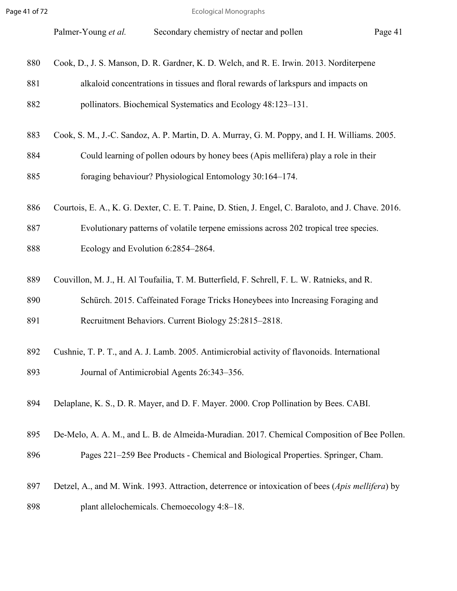| 880 | Cook, D., J. S. Manson, D. R. Gardner, K. D. Welch, and R. E. Irwin. 2013. Norditerpene             |
|-----|-----------------------------------------------------------------------------------------------------|
| 881 | alkaloid concentrations in tissues and floral rewards of larkspurs and impacts on                   |
| 882 | pollinators. Biochemical Systematics and Ecology 48:123-131.                                        |
| 883 | Cook, S. M., J.-C. Sandoz, A. P. Martin, D. A. Murray, G. M. Poppy, and I. H. Williams. 2005.       |
| 884 | Could learning of pollen odours by honey bees (Apis mellifera) play a role in their                 |
| 885 | foraging behaviour? Physiological Entomology 30:164-174.                                            |
| 886 | Courtois, E. A., K. G. Dexter, C. E. T. Paine, D. Stien, J. Engel, C. Baraloto, and J. Chave. 2016. |
| 887 | Evolutionary patterns of volatile terpene emissions across 202 tropical tree species.               |
| 888 | Ecology and Evolution 6:2854-2864.                                                                  |
| 889 | Couvillon, M. J., H. Al Toufailia, T. M. Butterfield, F. Schrell, F. L. W. Ratnieks, and R.         |
| 890 | Schürch. 2015. Caffeinated Forage Tricks Honeybees into Increasing Foraging and                     |
| 891 | Recruitment Behaviors. Current Biology 25:2815-2818.                                                |
| 892 | Cushnie, T. P. T., and A. J. Lamb. 2005. Antimicrobial activity of flavonoids. International        |
| 893 | Journal of Antimicrobial Agents 26:343-356.                                                         |
| 894 | Delaplane, K. S., D. R. Mayer, and D. F. Mayer. 2000. Crop Pollination by Bees. CABI.               |
| 895 | De-Melo, A. A. M., and L. B. de Almeida-Muradian. 2017. Chemical Composition of Bee Pollen.         |
| 896 | Pages 221–259 Bee Products - Chemical and Biological Properties. Springer, Cham.                    |
| 897 | Detzel, A., and M. Wink. 1993. Attraction, deterrence or intoxication of bees (Apis mellifera) by   |
| 898 | plant allelochemicals. Chemoecology 4:8-18.                                                         |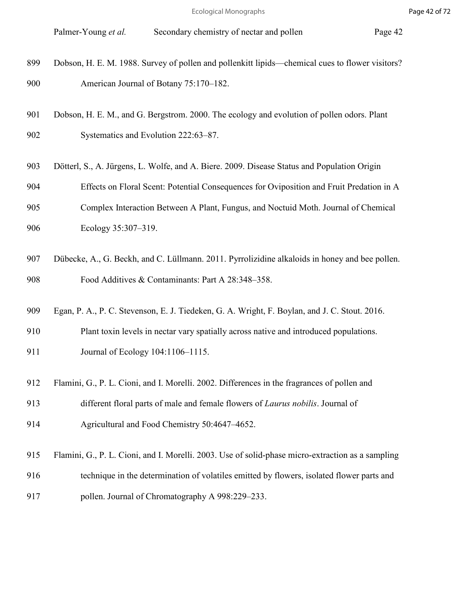- 
- 899 Dobson, H. E. M. 1988. Survey of pollen and pollenkitt lipids—chemical cues to flower visitors? 900 American Journal of Botany 75:170–182.
- 901 Dobson, H. E. M., and G. Bergstrom. 2000. The ecology and evolution of pollen odors. Plant 902 Systematics and Evolution 222:63–87.
- 903 Dötterl, S., A. Jürgens, L. Wolfe, and A. Biere. 2009. Disease Status and Population Origin
- 904 Effects on Floral Scent: Potential Consequences for Oviposition and Fruit Predation in A
- 905 Complex Interaction Between A Plant, Fungus, and Noctuid Moth. Journal of Chemical 906 Ecology 35:307–319.
- 907 Dübecke, A., G. Beckh, and C. Lüllmann. 2011. Pyrrolizidine alkaloids in honey and bee pollen. 908 Food Additives & Contaminants: Part A 28:348–358.
- 909 Egan, P. A., P. C. Stevenson, E. J. Tiedeken, G. A. Wright, F. Boylan, and J. C. Stout. 2016.
- 910 Plant toxin levels in nectar vary spatially across native and introduced populations. 911 **Journal of Ecology 104:1106–1115.**
- 912 Flamini, G., P. L. Cioni, and I. Morelli. 2002. Differences in the fragrances of pollen and
- 913 different floral parts of male and female flowers of *Laurus nobilis*. Journal of
- 914 Agricultural and Food Chemistry 50:4647–4652.
- 915 Flamini, G., P. L. Cioni, and I. Morelli. 2003. Use of solid-phase micro-extraction as a sampling
- 916 technique in the determination of volatiles emitted by flowers, isolated flower parts and
- 917 pollen. Journal of Chromatography A 998:229–233.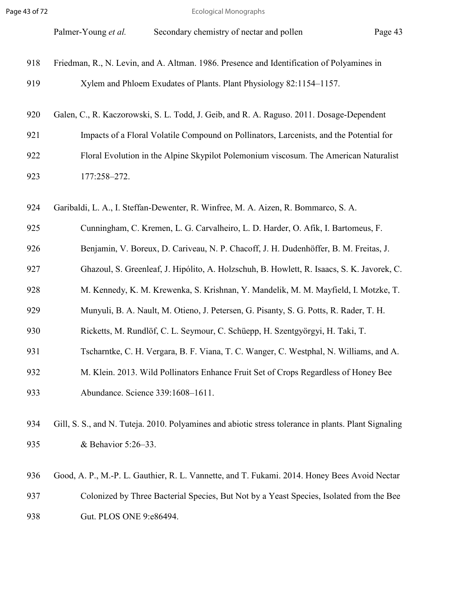| 918 | Friedman, R., N. Levin, and A. Altman. 1986. Presence and Identification of Polyamines in            |
|-----|------------------------------------------------------------------------------------------------------|
| 919 | Xylem and Phloem Exudates of Plants. Plant Physiology 82:1154–1157.                                  |
|     |                                                                                                      |
| 920 | Galen, C., R. Kaczorowski, S. L. Todd, J. Geib, and R. A. Raguso. 2011. Dosage-Dependent             |
| 921 | Impacts of a Floral Volatile Compound on Pollinators, Larcenists, and the Potential for              |
| 922 | Floral Evolution in the Alpine Skypilot Polemonium viscosum. The American Naturalist                 |
| 923 | 177:258-272.                                                                                         |
| 924 | Garibaldi, L. A., I. Steffan-Dewenter, R. Winfree, M. A. Aizen, R. Bommarco, S. A.                   |
| 925 | Cunningham, C. Kremen, L. G. Carvalheiro, L. D. Harder, O. Afik, I. Bartomeus, F.                    |
| 926 | Benjamin, V. Boreux, D. Cariveau, N. P. Chacoff, J. H. Dudenhöffer, B. M. Freitas, J.                |
| 927 | Ghazoul, S. Greenleaf, J. Hipólito, A. Holzschuh, B. Howlett, R. Isaacs, S. K. Javorek, C.           |
| 928 | M. Kennedy, K. M. Krewenka, S. Krishnan, Y. Mandelik, M. M. Mayfield, I. Motzke, T.                  |
| 929 | Munyuli, B. A. Nault, M. Otieno, J. Petersen, G. Pisanty, S. G. Potts, R. Rader, T. H.               |
| 930 | Ricketts, M. Rundlöf, C. L. Seymour, C. Schüepp, H. Szentgyörgyi, H. Taki, T.                        |
| 931 | Tscharntke, C. H. Vergara, B. F. Viana, T. C. Wanger, C. Westphal, N. Williams, and A.               |
| 932 | M. Klein. 2013. Wild Pollinators Enhance Fruit Set of Crops Regardless of Honey Bee                  |
| 933 | Abundance. Science 339:1608-1611.                                                                    |
| 934 | Gill, S. S., and N. Tuteja. 2010. Polyamines and abiotic stress tolerance in plants. Plant Signaling |
|     |                                                                                                      |
| 935 | & Behavior 5:26-33.                                                                                  |
| 936 | Good, A. P., M.-P. L. Gauthier, R. L. Vannette, and T. Fukami. 2014. Honey Bees Avoid Nectar         |
| 937 | Colonized by Three Bacterial Species, But Not by a Yeast Species, Isolated from the Bee              |
| 938 | Gut. PLOS ONE 9:e86494.                                                                              |
|     |                                                                                                      |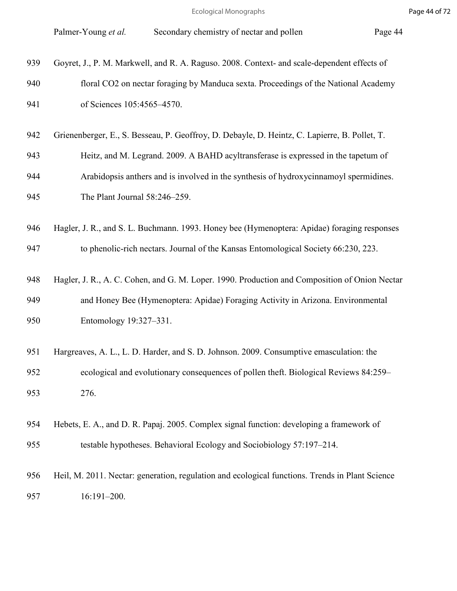|     | Palmer-Young et al.           | Secondary chemistry of nectar and pollen                                                        | Page 44 |
|-----|-------------------------------|-------------------------------------------------------------------------------------------------|---------|
| 939 |                               | Goyret, J., P. M. Markwell, and R. A. Raguso. 2008. Context- and scale-dependent effects of     |         |
| 940 |                               | floral CO2 on nectar foraging by Manduca sexta. Proceedings of the National Academy             |         |
| 941 | of Sciences 105:4565-4570.    |                                                                                                 |         |
| 942 |                               | Grienenberger, E., S. Besseau, P. Geoffroy, D. Debayle, D. Heintz, C. Lapierre, B. Pollet, T.   |         |
| 943 |                               | Heitz, and M. Legrand. 2009. A BAHD acyltransferase is expressed in the tapetum of              |         |
| 944 |                               | Arabidopsis anthers and is involved in the synthesis of hydroxycinnamoyl spermidines.           |         |
| 945 | The Plant Journal 58:246-259. |                                                                                                 |         |
| 946 |                               | Hagler, J. R., and S. L. Buchmann. 1993. Honey bee (Hymenoptera: Apidae) foraging responses     |         |
| 947 |                               | to phenolic-rich nectars. Journal of the Kansas Entomological Society 66:230, 223.              |         |
| 948 |                               | Hagler, J. R., A. C. Cohen, and G. M. Loper. 1990. Production and Composition of Onion Nectar   |         |
| 949 |                               | and Honey Bee (Hymenoptera: Apidae) Foraging Activity in Arizona. Environmental                 |         |
| 950 | Entomology 19:327-331.        |                                                                                                 |         |
| 951 |                               | Hargreaves, A. L., L. D. Harder, and S. D. Johnson. 2009. Consumptive emasculation: the         |         |
| 952 |                               | ecological and evolutionary consequences of pollen theft. Biological Reviews 84:259–            |         |
| 953 | 276.                          |                                                                                                 |         |
| 954 |                               | Hebets, E. A., and D. R. Papaj. 2005. Complex signal function: developing a framework of        |         |
| 955 |                               | testable hypotheses. Behavioral Ecology and Sociobiology 57:197-214.                            |         |
| 956 |                               | Heil, M. 2011. Nectar: generation, regulation and ecological functions. Trends in Plant Science |         |

957 16:191–200.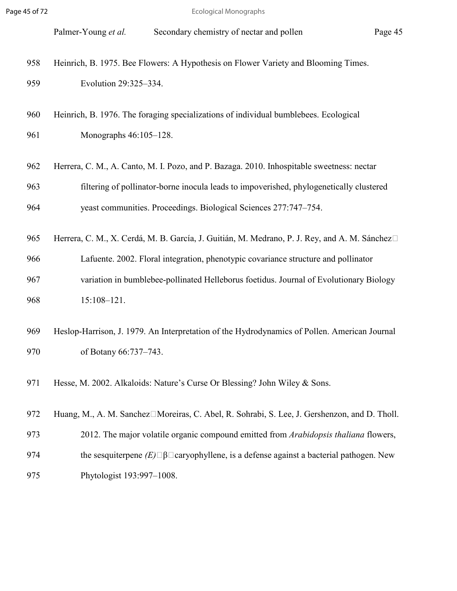| Page 45 of 72 |                           | <b>Ecological Monographs</b>                                                                                |         |
|---------------|---------------------------|-------------------------------------------------------------------------------------------------------------|---------|
|               | Palmer-Young et al.       | Secondary chemistry of nectar and pollen                                                                    | Page 45 |
| 958           |                           | Heinrich, B. 1975. Bee Flowers: A Hypothesis on Flower Variety and Blooming Times.                          |         |
| 959           | Evolution 29:325-334.     |                                                                                                             |         |
| 960           |                           | Heinrich, B. 1976. The foraging specializations of individual bumblebees. Ecological                        |         |
| 961           | Monographs 46:105-128.    |                                                                                                             |         |
| 962           |                           | Herrera, C. M., A. Canto, M. I. Pozo, and P. Bazaga. 2010. Inhospitable sweetness: nectar                   |         |
| 963           |                           | filtering of pollinator-borne inocula leads to impoverished, phylogenetically clustered                     |         |
| 964           |                           | yeast communities. Proceedings. Biological Sciences 277:747-754.                                            |         |
| 965           |                           | Herrera, C. M., X. Cerdá, M. B. García, J. Guitián, M. Medrano, P. J. Rey, and A. M. Sánchez <sup>[1]</sup> |         |
| 966           |                           | Lafuente. 2002. Floral integration, phenotypic covariance structure and pollinator                          |         |
| 967           |                           | variation in bumblebee-pollinated Helleborus foetidus. Journal of Evolutionary Biology                      |         |
| 968           | $15:108 - 121$ .          |                                                                                                             |         |
| 969           |                           | Heslop-Harrison, J. 1979. An Interpretation of the Hydrodynamics of Pollen. American Journal                |         |
| 970           | of Botany 66:737-743.     |                                                                                                             |         |
| 971           |                           | Hesse, M. 2002. Alkaloids: Nature's Curse Or Blessing? John Wiley & Sons.                                   |         |
| 972           |                           | Huang, M., A. M. Sanchez□Moreiras, C. Abel, R. Sohrabi, S. Lee, J. Gershenzon, and D. Tholl.                |         |
| 973           |                           | 2012. The major volatile organic compound emitted from Arabidopsis thaliana flowers,                        |         |
| 974           |                           | the sesquiterpene $(E) \Box \beta \Box$ caryophyllene, is a defense against a bacterial pathogen. New       |         |
| 975           | Phytologist 193:997-1008. |                                                                                                             |         |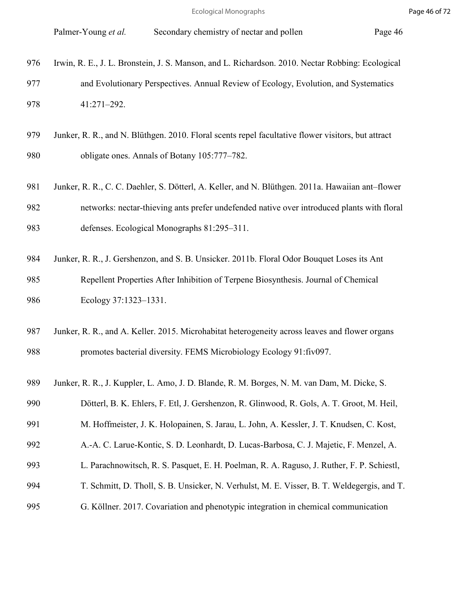976 Irwin, R. E., J. L. Bronstein, J. S. Manson, and L. Richardson. 2010. Nectar Robbing: Ecological 977 and Evolutionary Perspectives. Annual Review of Ecology, Evolution, and Systematics

978 41:271–292.

- 979 Junker, R. R., and N. Blüthgen. 2010. Floral scents repel facultative flower visitors, but attract 980 obligate ones. Annals of Botany 105:777–782.
- 981 Junker, R. R., C. C. Daehler, S. Dötterl, A. Keller, and N. Blüthgen. 2011a. Hawaiian ant–flower 982 networks: nectar-thieving ants prefer undefended native over introduced plants with floral 983 defenses. Ecological Monographs 81:295–311.
- 984 Junker, R. R., J. Gershenzon, and S. B. Unsicker. 2011b. Floral Odor Bouquet Loses its Ant 985 Repellent Properties After Inhibition of Terpene Biosynthesis. Journal of Chemical 986 Ecology 37:1323–1331.
- 987 Junker, R. R., and A. Keller. 2015. Microhabitat heterogeneity across leaves and flower organs 988 promotes bacterial diversity. FEMS Microbiology Ecology 91:fiv097.
- 989 Junker, R. R., J. Kuppler, L. Amo, J. D. Blande, R. M. Borges, N. M. van Dam, M. Dicke, S.
- 990 Dötterl, B. K. Ehlers, F. Etl, J. Gershenzon, R. Glinwood, R. Gols, A. T. Groot, M. Heil,
- 991 M. Hoffmeister, J. K. Holopainen, S. Jarau, L. John, A. Kessler, J. T. Knudsen, C. Kost,
- 992 A.-A. C. Larue-Kontic, S. D. Leonhardt, D. Lucas-Barbosa, C. J. Majetic, F. Menzel, A.
- 993 L. Parachnowitsch, R. S. Pasquet, E. H. Poelman, R. A. Raguso, J. Ruther, F. P. Schiestl,
- 994 T. Schmitt, D. Tholl, S. B. Unsicker, N. Verhulst, M. E. Visser, B. T. Weldegergis, and T.
- 995 G. Köllner. 2017. Covariation and phenotypic integration in chemical communication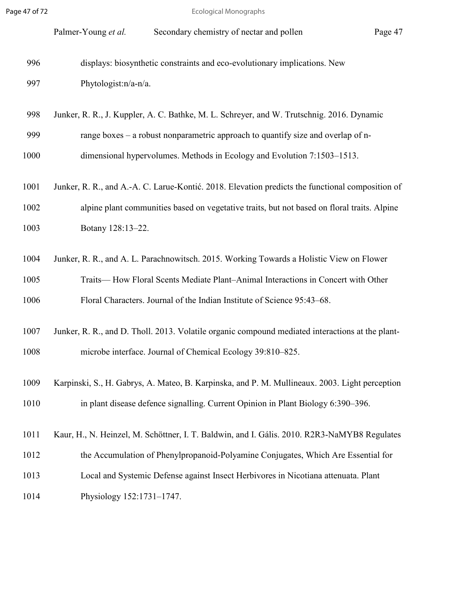996 displays: biosynthetic constraints and eco-evolutionary implications. New 997 Phytologist:n/a-n/a.

- 998 Junker, R. R., J. Kuppler, A. C. Bathke, M. L. Schreyer, and W. Trutschnig. 2016. Dynamic 999 range boxes – a robust nonparametric approach to quantify size and overlap of n-1000 dimensional hypervolumes. Methods in Ecology and Evolution 7:1503–1513.
- 1001 Junker, R. R., and A.-A. C. Larue-Kontić. 2018. Elevation predicts the functional composition of 1002 alpine plant communities based on vegetative traits, but not based on floral traits. Alpine 1003 Botany 128:13–22.
- 1004 Junker, R. R., and A. L. Parachnowitsch. 2015. Working Towards a Holistic View on Flower
- 1005 Traits— How Floral Scents Mediate Plant–Animal Interactions in Concert with Other 1006 Floral Characters. Journal of the Indian Institute of Science 95:43–68.
- 1007 Junker, R. R., and D. Tholl. 2013. Volatile organic compound mediated interactions at the plant-1008 microbe interface. Journal of Chemical Ecology 39:810–825.
- 1009 Karpinski, S., H. Gabrys, A. Mateo, B. Karpinska, and P. M. Mullineaux. 2003. Light perception 1010 in plant disease defence signalling. Current Opinion in Plant Biology 6:390–396.

1011 Kaur, H., N. Heinzel, M. Schöttner, I. T. Baldwin, and I. Gális. 2010. R2R3-NaMYB8 Regulates 1012 the Accumulation of Phenylpropanoid-Polyamine Conjugates, Which Are Essential for

- 1013 Local and Systemic Defense against Insect Herbivores in Nicotiana attenuata. Plant
- 1014 Physiology 152:1731–1747.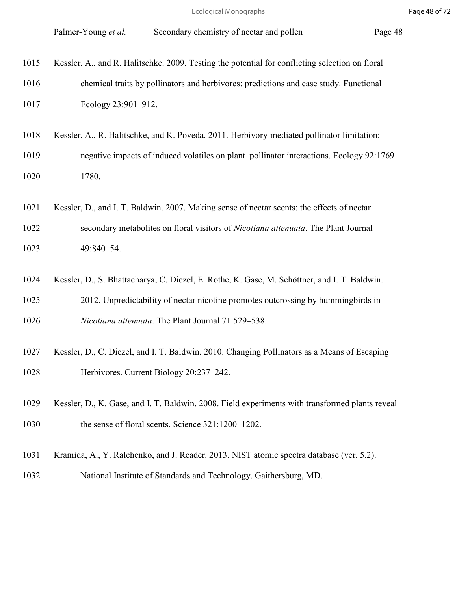| 1015 | Kessler, A., and R. Halitschke. 2009. Testing the potential for conflicting selection on floral |
|------|-------------------------------------------------------------------------------------------------|
| 1016 | chemical traits by pollinators and herbivores: predictions and case study. Functional           |
| 1017 | Ecology 23:901-912.                                                                             |

- 1018 Kessler, A., R. Halitschke, and K. Poveda. 2011. Herbivory-mediated pollinator limitation: 1019 negative impacts of induced volatiles on plant–pollinator interactions. Ecology 92:1769– 1020 1780.
- 1021 Kessler, D., and I. T. Baldwin. 2007. Making sense of nectar scents: the effects of nectar 1022 secondary metabolites on floral visitors of *Nicotiana attenuata*. The Plant Journal 1023 49:840–54.
- 1024 Kessler, D., S. Bhattacharya, C. Diezel, E. Rothe, K. Gase, M. Schöttner, and I. T. Baldwin. 1025 2012. Unpredictability of nectar nicotine promotes outcrossing by hummingbirds in 1026 *Nicotiana attenuata*. The Plant Journal 71:529–538.
- 1027 Kessler, D., C. Diezel, and I. T. Baldwin. 2010. Changing Pollinators as a Means of Escaping 1028 Herbivores. Current Biology 20:237–242.
- 1029 Kessler, D., K. Gase, and I. T. Baldwin. 2008. Field experiments with transformed plants reveal 1030 the sense of floral scents. Science 321:1200–1202.
- 1031 Kramida, A., Y. Ralchenko, and J. Reader. 2013. NIST atomic spectra database (ver. 5.2).
- 1032 National Institute of Standards and Technology, Gaithersburg, MD.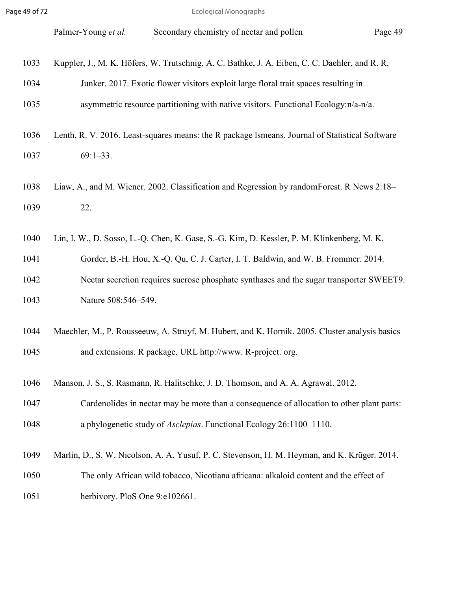| 1033 | Kuppler, J., M. K. Höfers, W. Trutschnig, A. C. Bathke, J. A. Eiben, C. C. Daehler, and R. R.  |
|------|------------------------------------------------------------------------------------------------|
| 1034 | Junker. 2017. Exotic flower visitors exploit large floral trait spaces resulting in            |
| 1035 | asymmetric resource partitioning with native visitors. Functional Ecology:n/a-n/a.             |
| 1036 | Lenth, R. V. 2016. Least-squares means: the R package Ismeans. Journal of Statistical Software |
| 1037 | $69:1-33.$                                                                                     |
| 1038 | Liaw, A., and M. Wiener. 2002. Classification and Regression by random Forest. R News 2:18-    |
| 1039 | 22.                                                                                            |
| 1040 | Lin, I. W., D. Sosso, L.-Q. Chen, K. Gase, S.-G. Kim, D. Kessler, P. M. Klinkenberg, M. K.     |
| 1041 | Gorder, B.-H. Hou, X.-Q. Qu, C. J. Carter, I. T. Baldwin, and W. B. Frommer. 2014.             |
| 1042 | Nectar secretion requires sucrose phosphate synthases and the sugar transporter SWEET9.        |
| 1043 | Nature 508:546-549.                                                                            |
| 1044 | Maechler, M., P. Rousseeuw, A. Struyf, M. Hubert, and K. Hornik. 2005. Cluster analysis basics |
| 1045 | and extensions. R package. URL http://www. R-project. org.                                     |
| 1046 | Manson, J. S., S. Rasmann, R. Halitschke, J. D. Thomson, and A. A. Agrawal. 2012.              |
| 1047 | Cardenolides in nectar may be more than a consequence of allocation to other plant parts:      |
| 1048 | a phylogenetic study of <i>Asclepias</i> . Functional Ecology 26:1100–1110.                    |
| 1049 | Marlin, D., S. W. Nicolson, A. A. Yusuf, P. C. Stevenson, H. M. Heyman, and K. Krüger. 2014.   |
| 1050 | The only African wild tobacco, Nicotiana africana: alkaloid content and the effect of          |

1051 herbivory. PloS One 9:e102661.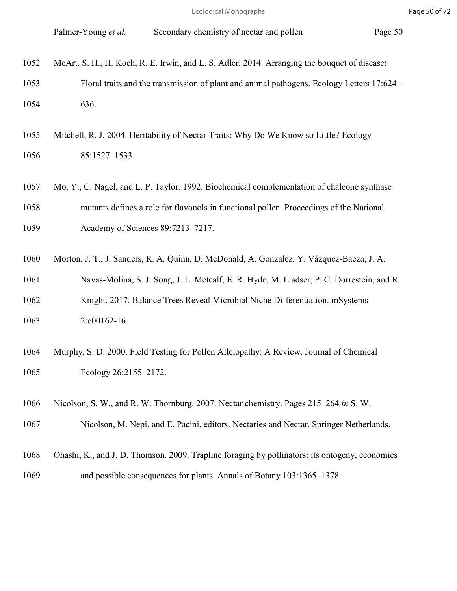- 
- 1052 McArt, S. H., H. Koch, R. E. Irwin, and L. S. Adler. 2014. Arranging the bouquet of disease:
- 1053 Floral traits and the transmission of plant and animal pathogens. Ecology Letters 17:624– 1054 636.
- 1055 Mitchell, R. J. 2004. Heritability of Nectar Traits: Why Do We Know so Little? Ecology 1056 85:1527–1533.
- 1057 Mo, Y., C. Nagel, and L. P. Taylor. 1992. Biochemical complementation of chalcone synthase 1058 mutants defines a role for flavonols in functional pollen. Proceedings of the National 1059 Academy of Sciences 89:7213–7217.
- 1060 Morton, J. T., J. Sanders, R. A. Quinn, D. McDonald, A. Gonzalez, Y. Vázquez-Baeza, J. A.
- 1061 Navas-Molina, S. J. Song, J. L. Metcalf, E. R. Hyde, M. Lladser, P. C. Dorrestein, and R.
- 1062 Knight. 2017. Balance Trees Reveal Microbial Niche Differentiation. mSystems 1063 2:e00162-16.
- 1064 Murphy, S. D. 2000. Field Testing for Pollen Allelopathy: A Review. Journal of Chemical 1065 Ecology 26:2155–2172.
- 1066 Nicolson, S. W., and R. W. Thornburg. 2007. Nectar chemistry. Pages 215–264 *in* S. W.
- 1067 Nicolson, M. Nepi, and E. Pacini, editors. Nectaries and Nectar. Springer Netherlands.
- 1068 Ohashi, K., and J. D. Thomson. 2009. Trapline foraging by pollinators: its ontogeny, economics 1069 and possible consequences for plants. Annals of Botany 103:1365–1378.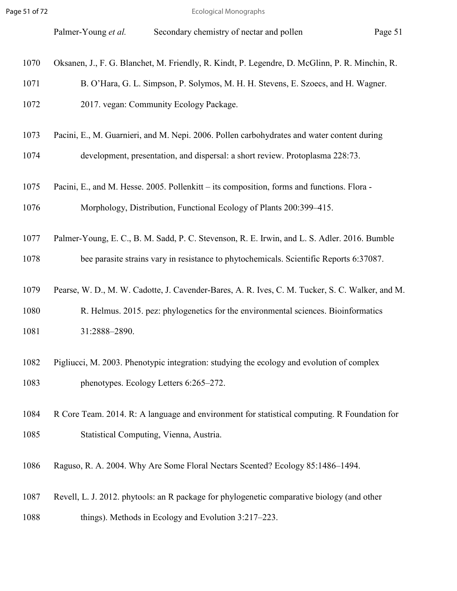| 1070 | Oksanen, J., F. G. Blanchet, M. Friendly, R. Kindt, P. Legendre, D. McGlinn, P. R. Minchin, R.  |
|------|-------------------------------------------------------------------------------------------------|
| 1071 | B. O'Hara, G. L. Simpson, P. Solymos, M. H. H. Stevens, E. Szoecs, and H. Wagner.               |
| 1072 | 2017. vegan: Community Ecology Package.                                                         |
|      |                                                                                                 |
| 1073 | Pacini, E., M. Guarnieri, and M. Nepi. 2006. Pollen carbohydrates and water content during      |
| 1074 | development, presentation, and dispersal: a short review. Protoplasma 228:73.                   |
|      |                                                                                                 |
| 1075 | Pacini, E., and M. Hesse. 2005. Pollenkitt – its composition, forms and functions. Flora -      |
| 1076 | Morphology, Distribution, Functional Ecology of Plants 200:399–415.                             |
|      |                                                                                                 |
| 1077 | Palmer-Young, E. C., B. M. Sadd, P. C. Stevenson, R. E. Irwin, and L. S. Adler. 2016. Bumble    |
| 1078 | bee parasite strains vary in resistance to phytochemicals. Scientific Reports 6:37087.          |
|      |                                                                                                 |
| 1079 | Pearse, W. D., M. W. Cadotte, J. Cavender-Bares, A. R. Ives, C. M. Tucker, S. C. Walker, and M. |
| 1080 | R. Helmus. 2015. pez: phylogenetics for the environmental sciences. Bioinformatics              |
|      |                                                                                                 |

- 1081 31:2888–2890.
- 1082 Pigliucci, M. 2003. Phenotypic integration: studying the ecology and evolution of complex 1083 phenotypes. Ecology Letters 6:265–272.
- 1084 R Core Team. 2014. R: A language and environment for statistical computing. R Foundation for 1085 Statistical Computing, Vienna, Austria.
- 1086 Raguso, R. A. 2004. Why Are Some Floral Nectars Scented? Ecology 85:1486–1494.
- 1087 Revell, L. J. 2012. phytools: an R package for phylogenetic comparative biology (and other 1088 things). Methods in Ecology and Evolution 3:217–223.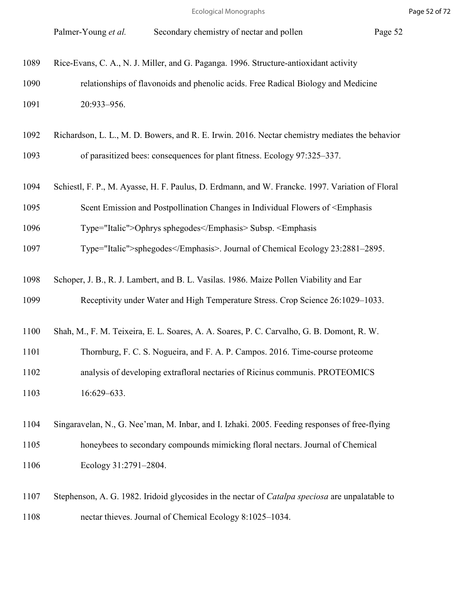| н. |  |
|----|--|
|    |  |

- 1089 Rice-Evans, C. A., N. J. Miller, and G. Paganga. 1996. Structure-antioxidant activity 1090 relationships of flavonoids and phenolic acids. Free Radical Biology and Medicine
- 1091 20:933–956.
- 1092 Richardson, L. L., M. D. Bowers, and R. E. Irwin. 2016. Nectar chemistry mediates the behavior 1093 of parasitized bees: consequences for plant fitness. Ecology 97:325–337.
- 1094 Schiestl, F. P., M. Ayasse, H. F. Paulus, D. Erdmann, and W. Francke. 1997. Variation of Floral
- 1095 Scent Emission and Postpollination Changes in Individual Flowers of <Emphasis
- 1096 Type="Italic">Ophrys sphegodes</Emphasis> Subsp. <Emphasis
- 1097 Type="Italic">sphegodes</Emphasis>. Journal of Chemical Ecology 23:2881–2895.
- 1098 Schoper, J. B., R. J. Lambert, and B. L. Vasilas. 1986. Maize Pollen Viability and Ear
- 1099 Receptivity under Water and High Temperature Stress. Crop Science 26:1029–1033.
- 1100 Shah, M., F. M. Teixeira, E. L. Soares, A. A. Soares, P. C. Carvalho, G. B. Domont, R. W.
- 1101 Thornburg, F. C. S. Nogueira, and F. A. P. Campos. 2016. Time-course proteome 1102 analysis of developing extrafloral nectaries of Ricinus communis. PROTEOMICS 1103 16:629–633.
- 1104 Singaravelan, N., G. Nee'man, M. Inbar, and I. Izhaki. 2005. Feeding responses of free-flying 1105 honeybees to secondary compounds mimicking floral nectars. Journal of Chemical 1106 Ecology 31:2791–2804.
- 1107 Stephenson, A. G. 1982. Iridoid glycosides in the nectar of *Catalpa speciosa* are unpalatable to 1108 nectar thieves. Journal of Chemical Ecology 8:1025–1034.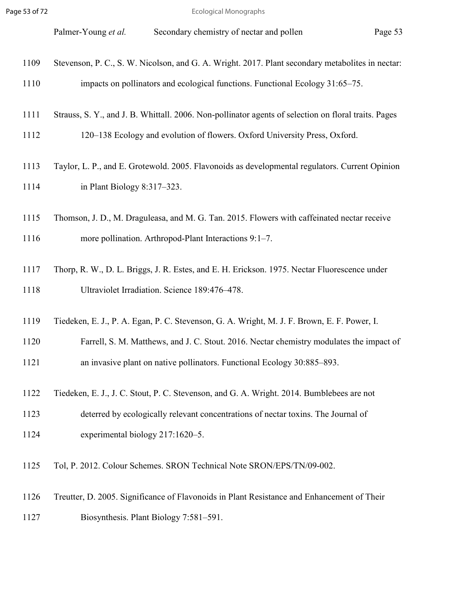| 1109 | Stevenson, P. C., S. W. Nicolson, and G. A. Wright. 2017. Plant secondary metabolites in nectar:     |
|------|------------------------------------------------------------------------------------------------------|
| 1110 | impacts on pollinators and ecological functions. Functional Ecology 31:65–75.                        |
| 1111 | Strauss, S. Y., and J. B. Whittall. 2006. Non-pollinator agents of selection on floral traits. Pages |
| 1112 | 120–138 Ecology and evolution of flowers. Oxford University Press, Oxford.                           |
| 1113 | Taylor, L. P., and E. Grotewold. 2005. Flavonoids as developmental regulators. Current Opinion       |
| 1114 | in Plant Biology $8:317-323$ .                                                                       |
| 1115 | Thomson, J. D., M. Draguleasa, and M. G. Tan. 2015. Flowers with caffeinated nectar receive          |
| 1116 | more pollination. Arthropod-Plant Interactions 9:1-7.                                                |
| 1117 | Thorp, R. W., D. L. Briggs, J. R. Estes, and E. H. Erickson. 1975. Nectar Fluorescence under         |
| 1118 | Ultraviolet Irradiation. Science 189:476-478.                                                        |
| 1119 | Tiedeken, E. J., P. A. Egan, P. C. Stevenson, G. A. Wright, M. J. F. Brown, E. F. Power, I.          |
| 1120 | Farrell, S. M. Matthews, and J. C. Stout. 2016. Nectar chemistry modulates the impact of             |
| 1121 | an invasive plant on native pollinators. Functional Ecology 30:885–893.                              |
| 1122 | Tiedeken, E. J., J. C. Stout, P. C. Stevenson, and G. A. Wright. 2014. Bumblebees are not            |
| 1123 | deterred by ecologically relevant concentrations of nectar toxins. The Journal of                    |
| 1124 | experimental biology 217:1620-5.                                                                     |
| 1125 | Tol, P. 2012. Colour Schemes. SRON Technical Note SRON/EPS/TN/09-002.                                |
| 1126 | Treutter, D. 2005. Significance of Flavonoids in Plant Resistance and Enhancement of Their           |
| 1127 | Biosynthesis. Plant Biology 7:581-591.                                                               |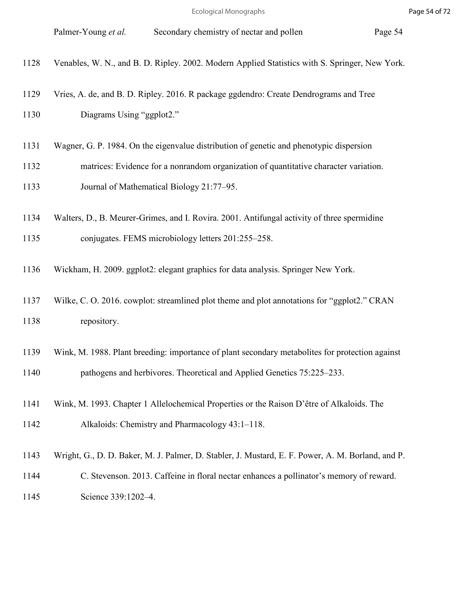| Palmer-Young et al. | Secondary chemistry of nectar and pollen |  | Page 54 |
|---------------------|------------------------------------------|--|---------|
|                     |                                          |  |         |

- 1128 Venables, W. N., and B. D. Ripley. 2002. Modern Applied Statistics with S. Springer, New York.
- 1129 Vries, A. de, and B. D. Ripley. 2016. R package ggdendro: Create Dendrograms and Tree 1130 Diagrams Using "ggplot2."
- 1131 Wagner, G. P. 1984. On the eigenvalue distribution of genetic and phenotypic dispersion
- 1132 matrices: Evidence for a nonrandom organization of quantitative character variation.
- 1133 Journal of Mathematical Biology 21:77–95.
- 1134 Walters, D., B. Meurer-Grimes, and I. Rovira. 2001. Antifungal activity of three spermidine
- 1135 conjugates. FEMS microbiology letters 201:255–258.
- 1136 Wickham, H. 2009. ggplot2: elegant graphics for data analysis. Springer New York.
- 1137 Wilke, C. O. 2016. cowplot: streamlined plot theme and plot annotations for "ggplot2." CRAN 1138 repository.
- 1139 Wink, M. 1988. Plant breeding: importance of plant secondary metabolites for protection against 1140 pathogens and herbivores. Theoretical and Applied Genetics 75:225–233.
- 1141 Wink, M. 1993. Chapter 1 Allelochemical Properties or the Raison D'être of Alkaloids. The
- 1142 Alkaloids: Chemistry and Pharmacology 43:1–118.
- 1143 Wright, G., D. D. Baker, M. J. Palmer, D. Stabler, J. Mustard, E. F. Power, A. M. Borland, and P.
- 1144 C. Stevenson. 2013. Caffeine in floral nectar enhances a pollinator's memory of reward. 1145 Science 339:1202-4.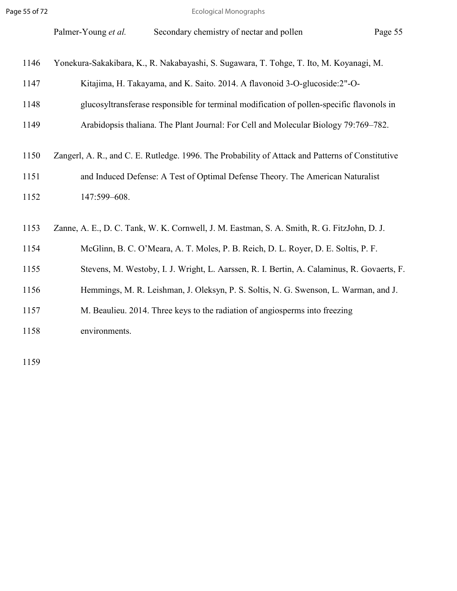| 1146 | Yonekura-Sakakibara, K., R. Nakabayashi, S. Sugawara, T. Tohge, T. Ito, M. Koyanagi, M.          |
|------|--------------------------------------------------------------------------------------------------|
| 1147 | Kitajima, H. Takayama, and K. Saito. 2014. A flavonoid 3-O-glucoside: 2"-O-                      |
| 1148 | glucosyltransferase responsible for terminal modification of pollen-specific flavonols in        |
| 1149 | Arabidopsis thaliana. The Plant Journal: For Cell and Molecular Biology 79:769–782.              |
| 1150 | Zangerl, A. R., and C. E. Rutledge. 1996. The Probability of Attack and Patterns of Constitutive |
| 1151 | and Induced Defense: A Test of Optimal Defense Theory. The American Naturalist                   |
| 1152 | 147:599-608.                                                                                     |
| 1153 | Zanne, A. E., D. C. Tank, W. K. Cornwell, J. M. Eastman, S. A. Smith, R. G. FitzJohn, D. J.      |
| 1154 | McGlinn, B. C. O'Meara, A. T. Moles, P. B. Reich, D. L. Royer, D. E. Soltis, P. F.               |
| 1155 | Stevens, M. Westoby, I. J. Wright, L. Aarssen, R. I. Bertin, A. Calaminus, R. Govaerts, F.       |
| 1156 | Hemmings, M. R. Leishman, J. Oleksyn, P. S. Soltis, N. G. Swenson, L. Warman, and J.             |
| 1157 | M. Beaulieu. 2014. Three keys to the radiation of angiosperms into freezing                      |
| 1158 | environments.                                                                                    |
| 1159 |                                                                                                  |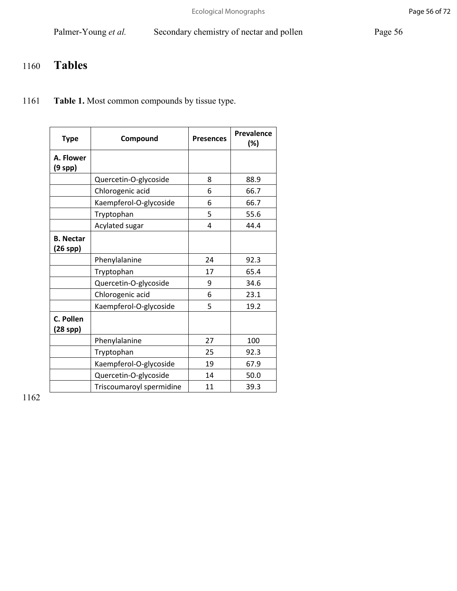# 1160 **Tables**

1161 **Table 1.** Most common compounds by tissue type.

| <b>Type</b>                       | Compound                 | <b>Presences</b> | Prevalence<br>(%) |  |  |
|-----------------------------------|--------------------------|------------------|-------------------|--|--|
| A. Flower<br>(9 spp)              |                          |                  |                   |  |  |
|                                   | Quercetin-O-glycoside    | 8                | 88.9              |  |  |
|                                   | Chlorogenic acid         | 6                | 66.7              |  |  |
|                                   | Kaempferol-O-glycoside   | 6                | 66.7              |  |  |
|                                   | Tryptophan               | 5                | 55.6              |  |  |
|                                   | Acylated sugar           | 4                | 44.4              |  |  |
| <b>B.</b> Nectar<br>$(26$ spp $)$ |                          |                  |                   |  |  |
|                                   | Phenylalanine            | 24               | 92.3              |  |  |
|                                   | Tryptophan               | 17               | 65.4              |  |  |
|                                   | Quercetin-O-glycoside    | 9                | 34.6              |  |  |
|                                   | Chlorogenic acid         | 6                | 23.1              |  |  |
|                                   | Kaempferol-O-glycoside   | 5                | 19.2              |  |  |
| C. Pollen<br>$(28$ spp $)$        |                          |                  |                   |  |  |
|                                   | Phenylalanine            | 27               | 100               |  |  |
|                                   | Tryptophan               | 25               | 92.3              |  |  |
|                                   | Kaempferol-O-glycoside   | 19               | 67.9              |  |  |
|                                   | Quercetin-O-glycoside    | 14               | 50.0              |  |  |
|                                   | Triscoumaroyl spermidine | 11               | 39.3              |  |  |

1162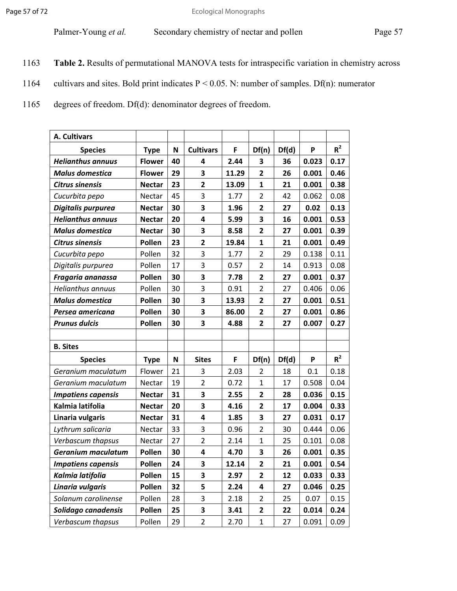- 1163 **Table 2.** Results of permutational MANOVA tests for intraspecific variation in chemistry across
- 1164 cultivars and sites. Bold print indicates P < 0.05. N: number of samples. Df(n): numerator
- 1165 degrees of freedom. Df(d): denominator degrees of freedom.

| A. Cultivars              |               |    |                         |       |                |       |       |       |
|---------------------------|---------------|----|-------------------------|-------|----------------|-------|-------|-------|
| <b>Species</b>            | <b>Type</b>   | N  | <b>Cultivars</b>        | F     | Df(n)          | Df(d) | P     | $R^2$ |
| <b>Helianthus annuus</b>  | <b>Flower</b> | 40 | 4                       | 2.44  | 3              | 36    | 0.023 | 0.17  |
| <b>Malus domestica</b>    | <b>Flower</b> | 29 | 3                       | 11.29 | $\mathbf{2}$   | 26    | 0.001 | 0.46  |
| <b>Citrus sinensis</b>    | <b>Nectar</b> | 23 | $\overline{\mathbf{2}}$ | 13.09 | $\mathbf{1}$   | 21    | 0.001 | 0.38  |
| Cucurbita pepo            | Nectar        | 45 | 3                       | 1.77  | $\overline{2}$ | 42    | 0.062 | 0.08  |
| Digitalis purpurea        | <b>Nectar</b> | 30 | 3                       | 1.96  | $\overline{2}$ | 27    | 0.02  | 0.13  |
| <b>Helianthus annuus</b>  | <b>Nectar</b> | 20 | 4                       | 5.99  | 3              | 16    | 0.001 | 0.53  |
| <b>Malus domestica</b>    | <b>Nectar</b> | 30 | 3                       | 8.58  | $\mathbf{2}$   | 27    | 0.001 | 0.39  |
| <b>Citrus sinensis</b>    | Pollen        | 23 | $\overline{\mathbf{2}}$ | 19.84 | $\mathbf{1}$   | 21    | 0.001 | 0.49  |
| Cucurbita pepo            | Pollen        | 32 | 3                       | 1.77  | $\overline{2}$ | 29    | 0.138 | 0.11  |
| Digitalis purpurea        | Pollen        | 17 | 3                       | 0.57  | $\overline{2}$ | 14    | 0.913 | 0.08  |
| Fragaria ananassa         | Pollen        | 30 | 3                       | 7.78  | $\overline{2}$ | 27    | 0.001 | 0.37  |
| Helianthus annuus         | Pollen        | 30 | 3                       | 0.91  | $\overline{2}$ | 27    | 0.406 | 0.06  |
| <b>Malus domestica</b>    | Pollen        | 30 | 3                       | 13.93 | $\mathbf{2}$   | 27    | 0.001 | 0.51  |
| Persea americana          | Pollen        | 30 | 3                       | 86.00 | $\overline{2}$ | 27    | 0.001 | 0.86  |
| <b>Prunus dulcis</b>      | Pollen        | 30 | 3                       | 4.88  | $\overline{2}$ | 27    | 0.007 | 0.27  |
|                           |               |    |                         |       |                |       |       |       |
| <b>B.</b> Sites           |               |    |                         |       |                |       |       |       |
| <b>Species</b>            | <b>Type</b>   | N  | <b>Sites</b>            | F     | Df(n)          | Df(d) | P     | $R^2$ |
| Geranium maculatum        | Flower        | 21 | 3                       | 2.03  | $\overline{2}$ | 18    | 0.1   | 0.18  |
| Geranium maculatum        | Nectar        | 19 | $\overline{2}$          | 0.72  | $\mathbf{1}$   | 17    | 0.508 | 0.04  |
| <b>Impatiens capensis</b> | <b>Nectar</b> | 31 | 3                       | 2.55  | $\overline{2}$ | 28    | 0.036 | 0.15  |
| Kalmia latifolia          | <b>Nectar</b> | 20 | 3                       | 4.16  | $\mathbf{2}$   | 17    | 0.004 | 0.33  |
| Linaria vulgaris          | <b>Nectar</b> | 31 | 4                       | 1.85  | 3              | 27    | 0.031 | 0.17  |
| Lythrum salicaria         | Nectar        | 33 | 3                       | 0.96  | $\overline{2}$ | 30    | 0.444 | 0.06  |
| Verbascum thapsus         | Nectar        | 27 | $\overline{2}$          | 2.14  | $\mathbf{1}$   | 25    | 0.101 | 0.08  |
| Geranium maculatum        | Pollen        | 30 | 4                       | 4.70  | 3              | 26    | 0.001 | 0.35  |
| <b>Impatiens capensis</b> | Pollen        | 24 | 3                       | 12.14 | $\overline{2}$ | 21    | 0.001 | 0.54  |
| Kalmia latifolia          | Pollen        | 15 | 3                       | 2.97  | $\mathbf{2}$   | 12    | 0.033 | 0.33  |
| Linaria vulgaris          | Pollen        | 32 | 5                       | 2.24  | 4              | 27    | 0.046 | 0.25  |
| Solanum carolinense       | Pollen        | 28 | 3                       | 2.18  | $\overline{2}$ | 25    | 0.07  | 0.15  |
| Solidago canadensis       | Pollen        | 25 | 3                       | 3.41  | $\mathbf{2}$   | 22    | 0.014 | 0.24  |
| Verbascum thapsus         | Pollen        | 29 | $\overline{2}$          | 2.70  | $\mathbf{1}$   | 27    | 0.091 | 0.09  |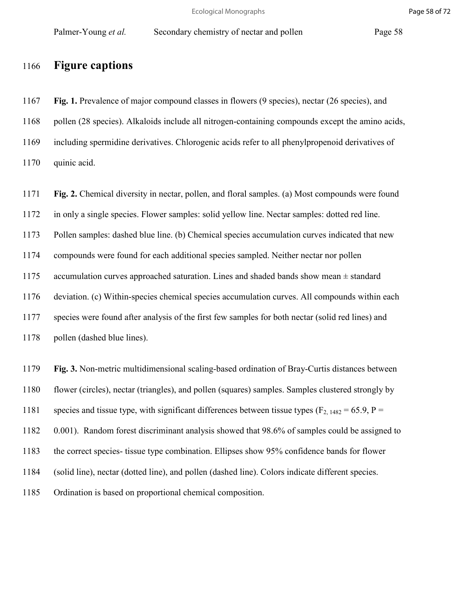### 1166 **Figure captions**

- 1167 **Fig. 1.** Prevalence of major compound classes in flowers (9 species), nectar (26 species), and
- 1168 pollen (28 species). Alkaloids include all nitrogen-containing compounds except the amino acids,
- 1169 including spermidine derivatives. Chlorogenic acids refer to all phenylpropenoid derivatives of

1170 quinic acid.

1171 **Fig. 2.** Chemical diversity in nectar, pollen, and floral samples. (a) Most compounds were found 1172 in only a single species. Flower samples: solid yellow line. Nectar samples: dotted red line. 1173 Pollen samples: dashed blue line. (b) Chemical species accumulation curves indicated that new 1174 compounds were found for each additional species sampled. Neither nectar nor pollen 1175 accumulation curves approached saturation. Lines and shaded bands show mean ± standard 1176 deviation. (c) Within-species chemical species accumulation curves. All compounds within each 1177 species were found after analysis of the first few samples for both nectar (solid red lines) and 1178 pollen (dashed blue lines).

1179 **Fig. 3.** Non-metric multidimensional scaling-based ordination of Bray-Curtis distances between

1180 flower (circles), nectar (triangles), and pollen (squares) samples. Samples clustered strongly by

1181 species and tissue type, with significant differences between tissue types  $(F_{2, 1482} = 65.9, P =$ 

1182 0.001). Random forest discriminant analysis showed that 98.6% of samples could be assigned to

1183 the correct species- tissue type combination. Ellipses show 95% confidence bands for flower

1184 (solid line), nectar (dotted line), and pollen (dashed line). Colors indicate different species.

1185 Ordination is based on proportional chemical composition.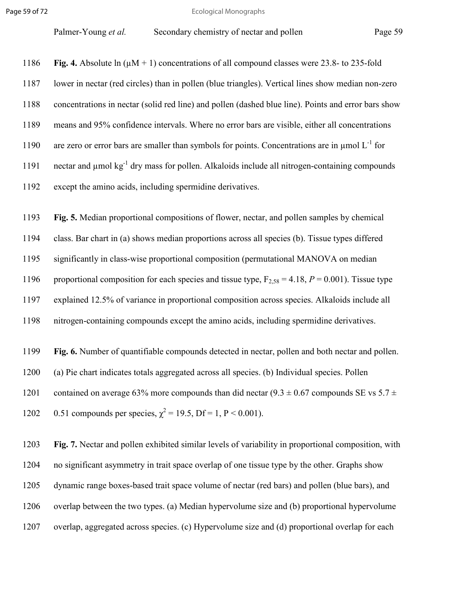1186 **Fig. 4.** Absolute ln  $(\mu M + 1)$  concentrations of all compound classes were 23.8- to 235-fold 1187 lower in nectar (red circles) than in pollen (blue triangles). Vertical lines show median non-zero 1188 concentrations in nectar (solid red line) and pollen (dashed blue line). Points and error bars show 1189 means and 95% confidence intervals. Where no error bars are visible, either all concentrations 1190 are zero or error bars are smaller than symbols for points. Concentrations are in  $\mu$ mol L<sup>-1</sup> for 1191 nectar and  $\mu$ mol kg<sup>-1</sup> dry mass for pollen. Alkaloids include all nitrogen-containing compounds 1192 except the amino acids, including spermidine derivatives. 1193 **Fig. 5.** Median proportional compositions of flower, nectar, and pollen samples by chemical 1194 class. Bar chart in (a) shows median proportions across all species (b). Tissue types differed 1195 significantly in class-wise proportional composition (permutational MANOVA on median 1196 proportional composition for each species and tissue type,  $F_{2,58} = 4.18$ ,  $P = 0.001$ ). Tissue type 1197 explained 12.5% of variance in proportional composition across species. Alkaloids include all 1198 nitrogen-containing compounds except the amino acids, including spermidine derivatives.

1199 **Fig. 6.** Number of quantifiable compounds detected in nectar, pollen and both nectar and pollen.

1200 (a) Pie chart indicates totals aggregated across all species. (b) Individual species. Pollen

1201 contained on average 63% more compounds than did nectar  $(9.3 \pm 0.67$  compounds SE vs  $5.7 \pm 1.67$ 

1202 0.51 compounds per species,  $\chi^2 = 19.5$ , Df = 1, P < 0.001).

1203 **Fig. 7.** Nectar and pollen exhibited similar levels of variability in proportional composition, with 1204 no significant asymmetry in trait space overlap of one tissue type by the other. Graphs show 1205 dynamic range boxes-based trait space volume of nectar (red bars) and pollen (blue bars), and 1206 overlap between the two types. (a) Median hypervolume size and (b) proportional hypervolume 1207 overlap, aggregated across species. (c) Hypervolume size and (d) proportional overlap for each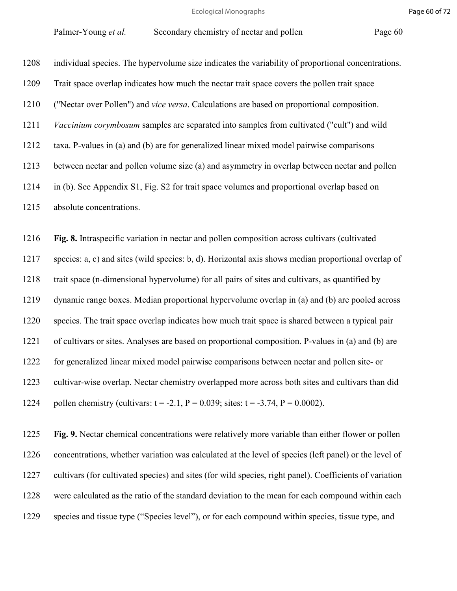| 1208 | individual species. The hypervolume size indicates the variability of proportional concentrations. |
|------|----------------------------------------------------------------------------------------------------|
| 1209 | Trait space overlap indicates how much the nectar trait space covers the pollen trait space        |
| 1210 | ("Nectar over Pollen") and <i>vice versa</i> . Calculations are based on proportional composition. |
| 1211 | Vaccinium corymbosum samples are separated into samples from cultivated ("cult") and wild          |
| 1212 | taxa. P-values in (a) and (b) are for generalized linear mixed model pairwise comparisons          |
| 1213 | between nectar and pollen volume size (a) and asymmetry in overlap between nectar and pollen       |
| 1214 | in (b). See Appendix S1, Fig. S2 for trait space volumes and proportional overlap based on         |
| 1215 | absolute concentrations.                                                                           |

1216 **Fig. 8.** Intraspecific variation in nectar and pollen composition across cultivars (cultivated 1217 species: a, c) and sites (wild species: b, d). Horizontal axis shows median proportional overlap of 1218 trait space (n-dimensional hypervolume) for all pairs of sites and cultivars, as quantified by 1219 dynamic range boxes. Median proportional hypervolume overlap in (a) and (b) are pooled across 1220 species. The trait space overlap indicates how much trait space is shared between a typical pair 1221 of cultivars or sites. Analyses are based on proportional composition. P-values in (a) and (b) are 1222 for generalized linear mixed model pairwise comparisons between nectar and pollen site- or 1223 cultivar-wise overlap. Nectar chemistry overlapped more across both sites and cultivars than did 1224 pollen chemistry (cultivars:  $t = -2.1$ ,  $P = 0.039$ ; sites:  $t = -3.74$ ,  $P = 0.0002$ ).

1225 **Fig. 9.** Nectar chemical concentrations were relatively more variable than either flower or pollen 1226 concentrations, whether variation was calculated at the level of species (left panel) or the level of 1227 cultivars (for cultivated species) and sites (for wild species, right panel). Coefficients of variation 1228 were calculated as the ratio of the standard deviation to the mean for each compound within each 1229 species and tissue type ("Species level"), or for each compound within species, tissue type, and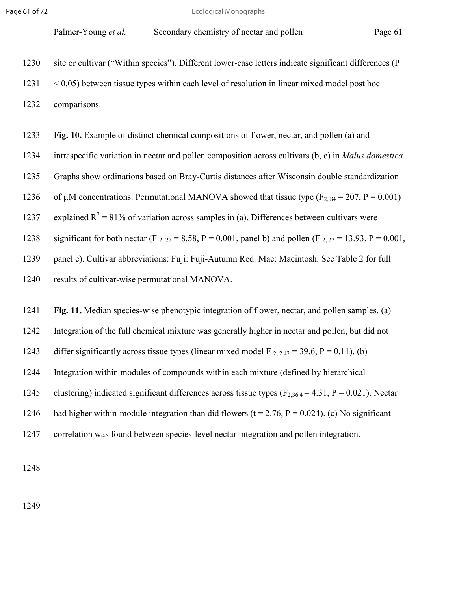1230 site or cultivar ("Within species"). Different lower-case letters indicate significant differences (P 1231 < 0.05) between tissue types within each level of resolution in linear mixed model post hoc 1232 comparisons.

1233 **Fig. 10.** Example of distinct chemical compositions of flower, nectar, and pollen (a) and

1234 intraspecific variation in nectar and pollen composition across cultivars (b, c) in *Malus domestica*.

1235 Graphs show ordinations based on Bray-Curtis distances after Wisconsin double standardization

1236 of  $\mu$ M concentrations. Permutational MANOVA showed that tissue type (F<sub>2, 84</sub> = 207, P = 0.001)

1237 explained  $R^2 = 81\%$  of variation across samples in (a). Differences between cultivars were

1238 significant for both nectar (F  $_{2,27} = 8.58$ , P = 0.001, panel b) and pollen (F  $_{2,27} = 13.93$ , P = 0.001,

1239 panel c). Cultivar abbreviations: Fuji: Fuji-Autumn Red. Mac: Macintosh. See Table 2 for full

1240 results of cultivar-wise permutational MANOVA.

1241 **Fig. 11.** Median species-wise phenotypic integration of flower, nectar, and pollen samples. (a)

1242 Integration of the full chemical mixture was generally higher in nectar and pollen, but did not

1243 differ significantly across tissue types (linear mixed model F  $_{2,2.42}$  = 39.6, P = 0.11). (b)

1244 Integration within modules of compounds within each mixture (defined by hierarchical

1245 clustering) indicated significant differences across tissue types  $(F_{2,36,4} = 4.31, P = 0.021)$ . Nectar

1246 had higher within-module integration than did flowers ( $t = 2.76$ ,  $P = 0.024$ ). (c) No significant

1247 correlation was found between species-level nectar integration and pollen integration.

1248

1249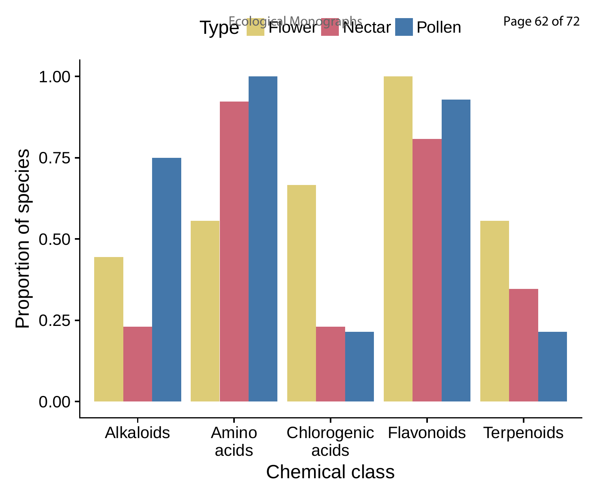# Type<sup>ologi</sup> Flower The Ctar Pollen Page 62 of 72

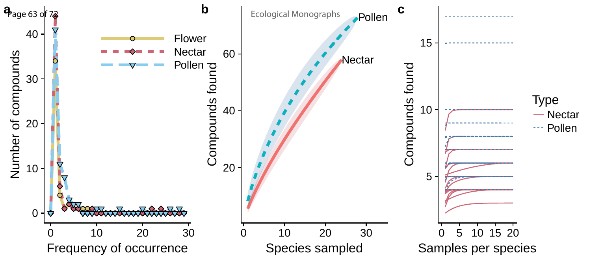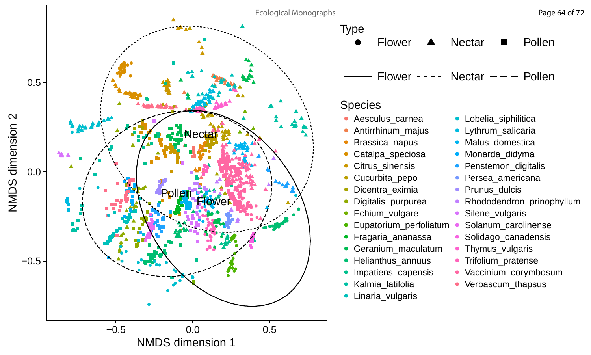

- Type
	- Flower  $\triangle$  Nectar  $\blacksquare$  Pollen

Flower  $--$  Nectar  $---$  Pollen

## **Species**

- Aesculus carnea  $\bullet$
- Antirrhinum\_majus
- Brassica\_napus
- Catalpa\_speciosa
- Citrus\_sinensis
- Cucurbita\_pepo
- Dicentra\_eximia
- Digitalis\_purpurea  $\bullet$
- Echium\_vulgare
- Eupatorium\_perfoliatum
- Fragaria\_ananassa
- Geranium\_maculatum  $\bullet$
- Helianthus\_annuus
- Impatiens\_capensis
- Kalmia\_latifolia
- Linaria vulgaris
- Lobelia siphilitica
- Lythrum salicaria
- Malus domestica
- Monarda\_didyma
- Penstemon\_digitalis
- Persea\_americana
- Prunus\_dulcis
- Rhododendron\_prinophyllum
- Silene\_vulgaris
- Solanum\_carolinense
- Solidago\_canadensis
- Thymus\_vulgaris
- Trifolium\_pratense
- Vaccinium\_corymbosum
- Verbascum\_thapsus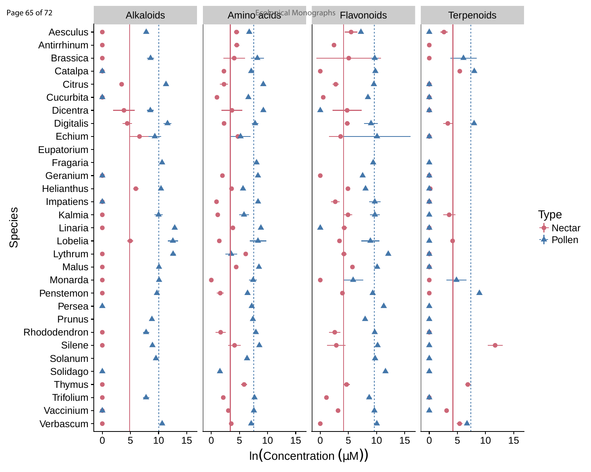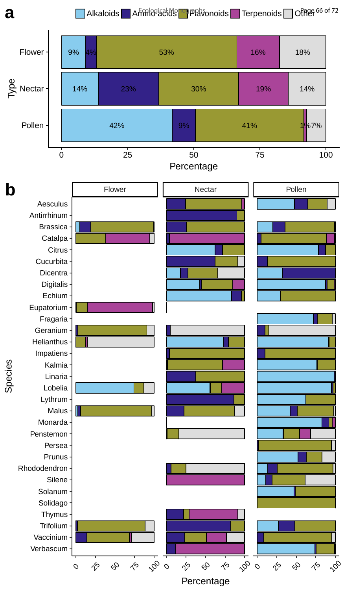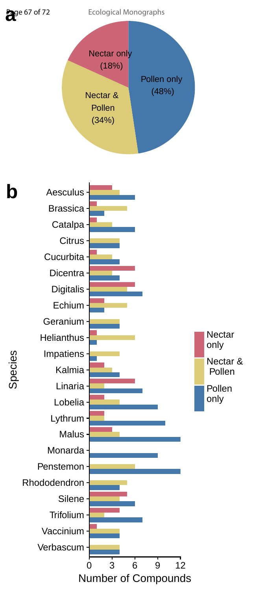

**Ecological Monographs** 

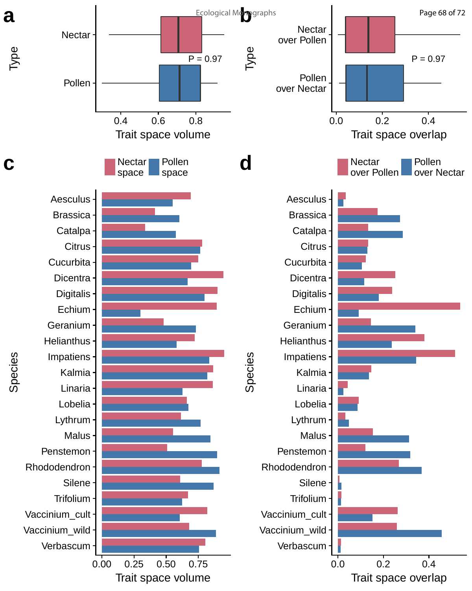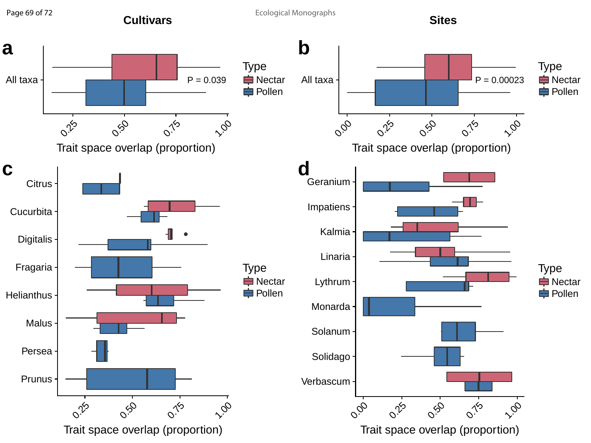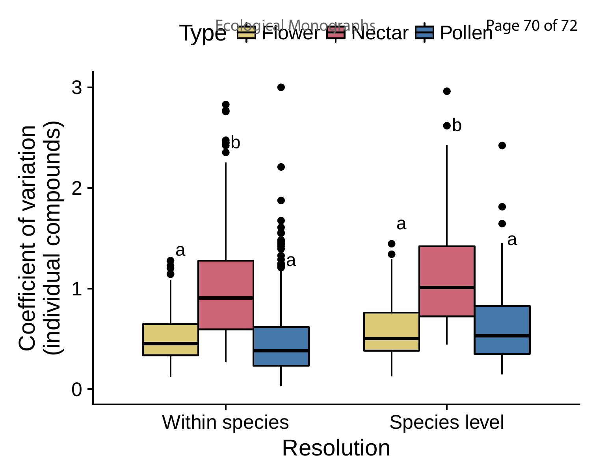# Type **Prionen Actar Dellen** Pollen <sup>age 70</sup> of 72

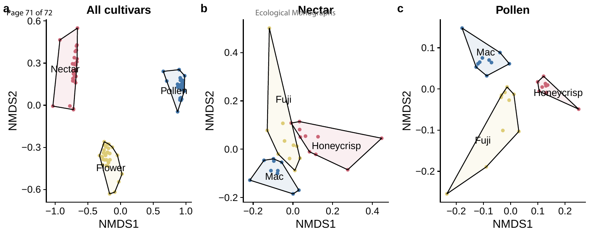